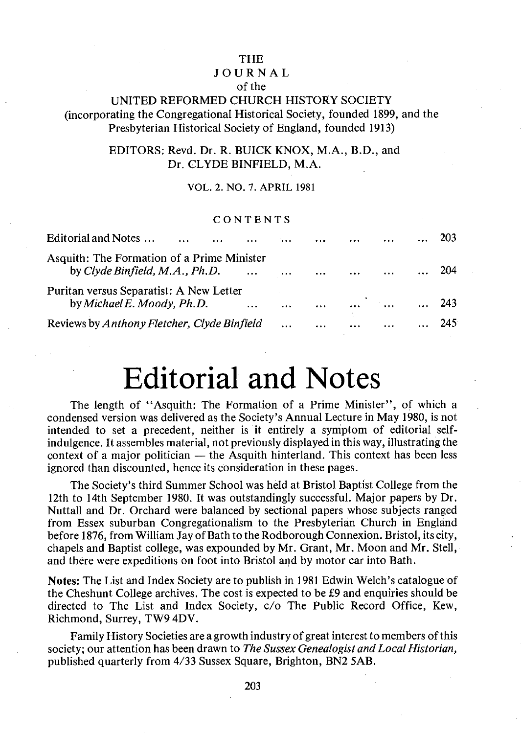#### THE

#### JOURNAL

#### of the

#### UNITED REFORMED CHURCH HISTORY SOCIETY (incorporating the Congregational Historical Society, founded 1899, and the Presbyterian Historical Society of England, founded 1913)

#### EDITORS: Revd. Dr. R. BUICK KNOX, M.A., B.D., and Dr. CLYDE BINFIELD, M.A.

#### VOL. 2. NO.7. APRIL 1981

#### CONTENTS

| Editorial and Notes<br>$\cdots$<br>                                          |          | $\dddotsc$ | $\cdots$ |          |          |          |     |
|------------------------------------------------------------------------------|----------|------------|----------|----------|----------|----------|-----|
| Asquith: The Formation of a Prime Minister<br>by Clyde Binfield, M.A., Ph.D. | $\cdots$ | $\cdots$   | $\cdots$ | $\cdots$ | $\cdots$ |          | 204 |
| Puritan versus Separatist: A New Letter<br>by Michael E. Moody, Ph.D.        | $\cdots$ | $\cdots$   |          | $\cdots$ |          | $\cdots$ | 243 |
| Reviews by Anthony Fletcher, Clyde Binfield                                  |          | $\cdots$   | $\cdots$ |          | $\cdots$ | .        |     |

## **Editorial and Notes**

The length of "Asquith: The Formation of a Prime Minister", of which a condensed version was delivered as the Society's Annual Lecture in May 1980, is not intended to set a precedent, neither is it entirely a symptom of editorial selfindulgence. It assembles material, not previously displayed in this way, illustrating the context of a major politician  $-$  the Asquith hinterland. This context has been less ignored than discounted, hence its consideration in these pages.

The Society's third Summer School was held at Bristol Baptist College from the 12th to 14th September 1980. It was outstandingly successful. Major papers by Dr. Nuttall and Dr. Orchard were balanced by sectional papers whose subjects ranged from Essex suburban Congregationalism to the Presbyterian Church in England before 1876, from William Jay of Bath to the Rod borough Connexion. Bristol, its city, chapels and Baptist college, was expounded by Mr. Grant, Mr. Moon and Mr. Stell, and there were expeditions on foot into Bristol and by motor car into Bath.

**Notes:** The List and Index Society are to publish in 1981 Edwin Welch's catalogue of the Cheshunt College archives. The cost is expected to be £9 and enquiries should be directed to The List and Index Society, c/o The Public Record Office, Kew, Richmond, Surrey, TW9 4DV.

Family History Societies are a growth industry of great interest to members of this society; our attention has been drawn to *The Sussex Genealogist and Local Historian,*  published quarterly from 4/33 Sussex Square, Brighton, BN2 5AB.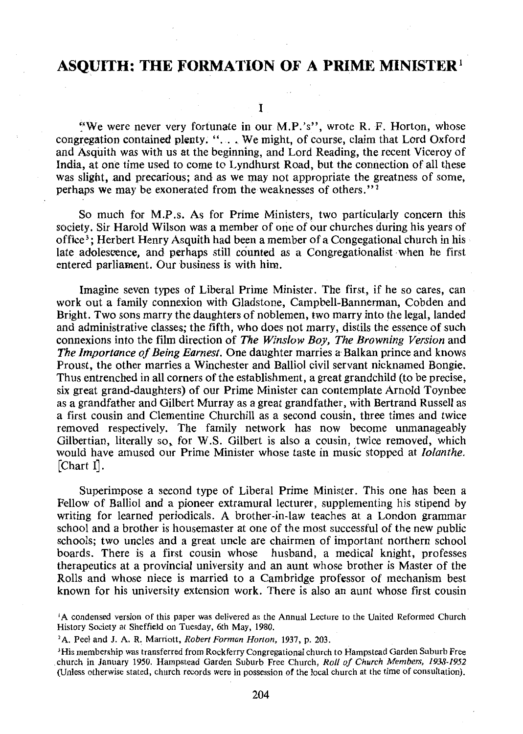Ĩ

~''We were never very fortunate in our M.P.'s", wrote R. F. Horton, whose congregation contained plenty. " ... We might, of course, claim that Lord Oxford and Asquith was with us at the beginning, and Lord Reading, the recent Viceroy of India, at one time used to come to Lyndhurst Road, but the connection of all these was slight, and precarious; and as we may not appropriate the greatness of some, perhaps we may be exonerated from the weaknesses of others."<sup>2</sup>

So much for M.P.s. As for Prime Ministers, two particularly concern this society. Sir Harold Wilson was a member of one of our churches during his years of office <sup>3</sup> ; Herbert Henry Asquith had been a member of a Congegational church in his late adolescence, and perhaps still counted as a Congregationalist when he first entered parliament. Our business is with him.

Imagine seven types of Liberal Prime Minister. The first, if he so cares, can work out a family connexion with Gladstone, Campbell-Bannerman, Cobden and Bright. Two sons marry the daughters of noblemen, two marry into the legal, landed and administrative classes; the fifth, who does not marry, distils the essence of such connexions into the film direction of *The Winslow Boy, The Browning Version* and *The Importance of Being Earnest.* One daughter marries a Balkan prince and knows Proust, the other marries a Winchester and Balliol civil servant nicknamed Bongie. Thus entrenched in all corners of the establishment, a great grandchild (to be precise, six great grand-daughters) of our Prime Minister can contemplate Arnold Toynbee as a grandfather and Gilbert Murray as a great grandfather, with Bertrand Russell as a first cousin and Clementine Churchill as a second cousin, three times and twice removed respectively. The family network has now become unmanageably Gilbertian, literally so, for W.S. Gilbert is also a cousin, twice removed, which would have amused our Prime Minister whose taste in music stopped at *Iolanthe.*  [Chart I].

Superimpose a second type of Liberal Prime Minister. This one has been a Fellow of Balliol and a pioneer extramural lecturer, supplementing his stipend by writing for learned periodicals. A brother-in-law teaches at a London grammar school and a brother is housemaster at one of the most successful of the new public schools; two uncles and a great uncle are chairmen of important northern school boards. There is a first cousin whose husband, a medical knight, professes therapeutics at a provincial university and an aunt whose brother is Master of the Rolls and whose niece is married to a Cambridge professor of mechanism best known for his university extension work. There is also an aunt whose first cousin

<sup>1</sup>A condensed version of this paper was delivered as the Annual Lecture to the United Reformed Church History Society at Sheffield on Tuesday, 6th May, 1980.

<sup>&</sup>lt;sup>2</sup>A. Peel and J. A. R. Marriott, *Robert Forman Horton*, 1937, p. 203.

<sup>&#</sup>x27;His membership was transferred from Rockferry Congregational church to Hampstead Garden Suburb Free .church in January 1950. Hampstead Garden Suburb Free Church, *Roll of Church Members, 1938-1952*  (Unless otherwise stated, church records were in possession of the local church at the time of consultation).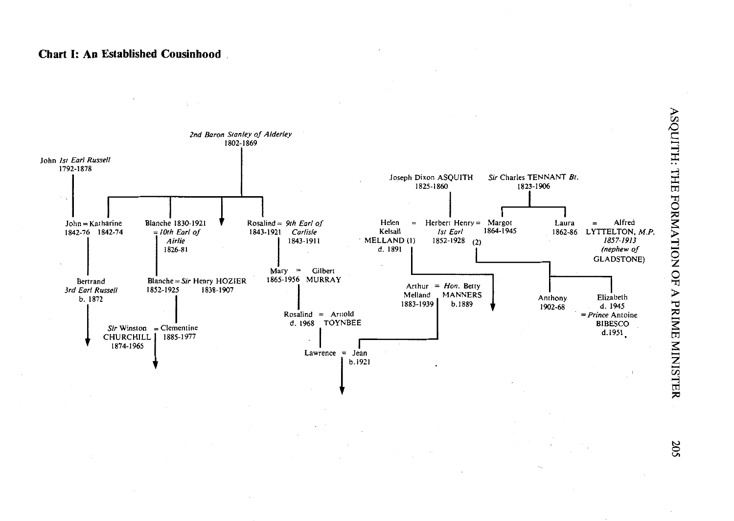#### **Chart 1: An Established Cousinhood**



**ASSPITT: LHE FORMATION OF**  $\mathbf{A}$  PR E MINISTER

VI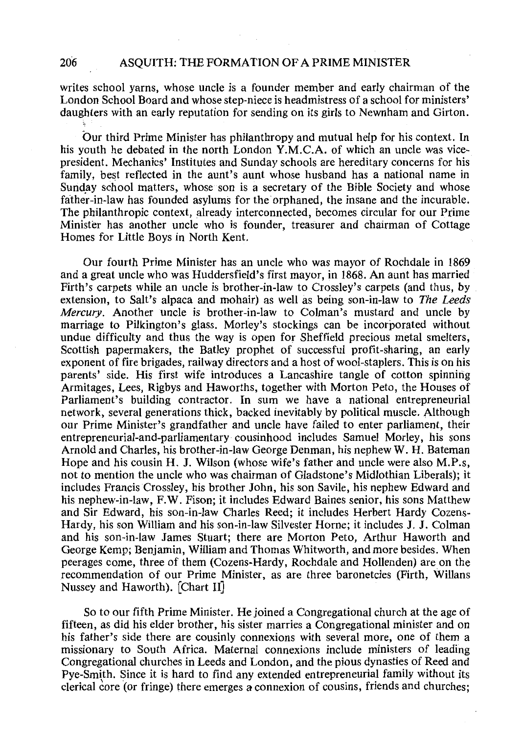writes school yarns, whose uncle is a founder member and early chairman of the London School Board and whose step-niece is headmistress of a school for ministers' daughters with an early reputation for sending on its girls to Newnham and Girton.

bur third Prime Minister has philanthropy and mutual help for his context. In his youth he debated in the north London Y.M.C.A. of which an uncle was vicepresident. Mechanics' Institutes and Sunday schools are hereditary concerns for his family, best reflected in the aunt's aunt whose husband has a national name in Sunday school matters, whose son is a secretary of the Bible Society and whose father-in-law has founded asylums for the orphaned, the insane and the incurable. The philanthropic context, already interconnected, becomes circular for our Prime Minister has another uncle who is founder, treasurer and chairman of Cottage Homes for Little Boys in North Kent.

Our fourth Prime Minister has an uncle who was mayor of Rochdale in 1869 and a great uncle who was Huddersfield's first mayor, in 1868. An aunt has married Firth's carpets while an uncle is brother-in-law to Crossley's carpets (and thus, by extension, to Salt's alpaca and mohair) as well as being son-in-law to *The Leeds Mercury.* Another uncle is brother-in-law to Colman's mustard and uncle by marriage to Pilkington's glass. Morley's stockings can be incorporated without undue difficulty and thus the way is open for Sheffield precious metal smelters, Scottish papermakers, the Batley prophet of successful profit-sharing, an early exponent of fire brigades, railway directors and a host of wool-staplers. This is on his parents' side. His first wife introduces a Lancashire tangle of cotton spinning Armitages, Lees, Rigbys and Haworths, together with Morton Peto, the Houses of Parliament's building contractor. In sum we have a national entrepreneurial network, several generations thick, backed inevitably by political muscle. Although our Prime Minister's grandfather and uncle have failed to enter parliament, their entrepreneurial-and-parliamentary cousinhood includes Samuel Morley, his sons Arnold and Charles, his brother-in-law George Denman, his nephew W. H. Bateman Hope and his cousin H. J. Wilson (whose wife's father and uncle were also M.P.s, not to mention the uncle who was chairman of Gladstone's Midlothian Liberals); it includes Francis Crossley, his brother John, his son Savile, his nephew Edward and his nephew-in-law, F.W. Fison; it includes Edward Baines senior, his sons Matthew and Sir Edward, his son-in-law Charles Reed; it includes Herbert Hardy Cozens-Hardy, his son William and his son-in-law Silvester Horne; it includes J. J. Colman and his son-in-law James Stuart; there are Morton Peto, Arthur Haworth and George Kemp; Benjamin, William and Thomas Whitworth, and more besides. When peerages come, three of them (Cozens-Hardy, Rochdale and Hollenden) are on the recommendation of our Prime Minister, as are three baronetcies (Firth, Willans Nussey and Haworth). [Chart II]

So to our fifth Prime Minister. He joined a Congregational church at the age of fifteen, as did his elder brother, his sister marries a Congregational minister and on his father's side there are cousinly connexions with several more, one of them a missionary to South Africa. Maternal connexions include ministers of leading Congregational churches in Leeds and London, and the pious dynasties of Reed and Pye-Smith. Since it is hard to find any extended entrepreneurial family without its clerical core (or fringe) there emerges a connexion of cousins, friends and churches;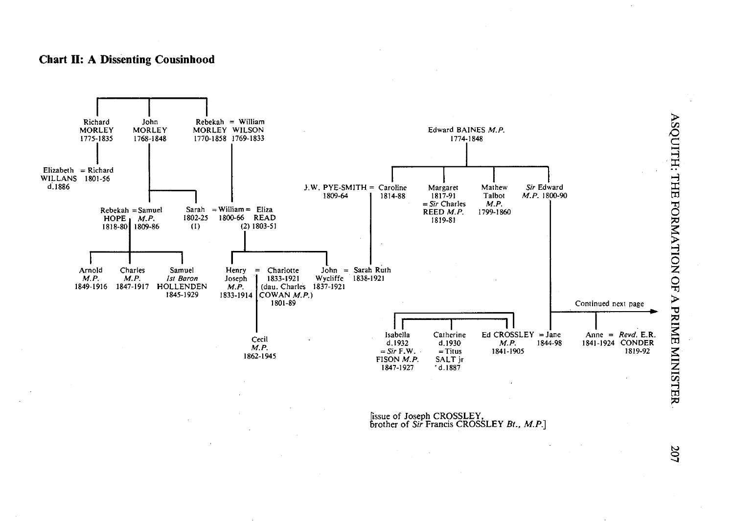#### **Chart II: A Dissenting Cousinhood**



fissue of Joseph CROSSLEY,<br>brother of *Sir* Francis CROSSLEY *Bt., M.P*.]

z. ISTER

8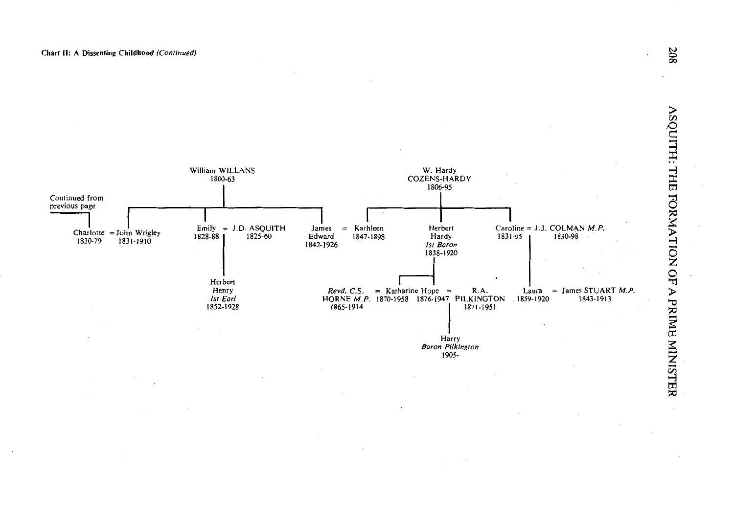

 $\tilde{\phantom{a}}$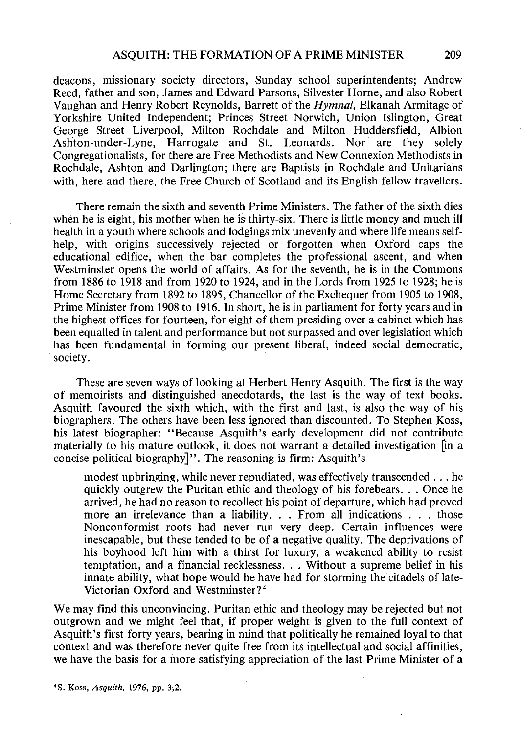deacons, missionary society directors, Sunday school superintendents; Andrew Reed, father and son, James and Edward Parsons, Silvester Horne, and also Robert Vaughan and Henry Robert Reynolds, Barrett of the *Hymnal,* Elkanah Armitage of Yorkshire United Independent; Princes Street Norwich, Union Islington, Great George Street Liverpool, Milton Rochdale and Milton Huddersfield, Albion Ashton-under-Lyne, Harrogate and St. Leonards. Nor are they solely Congregationalists, for there are Free Methodists and New Connexion Methodists in Rochdale, Ashton and Darlington; there are Baptists in Rochdale and Unitarians with, here and there, the Free Church of Scotland and its English fellow travellers.

There remain the sixth and seventh Prime Ministers. The father of the sixth dies when he is eight, his mother when he is thirty-six. There is little money and much ill health in a youth where schools and lodgings mix unevenly and where life means selfhelp, with origins successively rejected or forgotten when Oxford caps the educational edifice, when the bar completes the professional ascent, and when Westminster opens the world of affairs. As for the seventh, he is in the Commons from 1886 to 1918 and from 1920 to 1924, and in the Lords from 1925 to 1928; he is Home Secretary from 1892 to 1895, Chancellor of the Exchequer from 1905 to 1908, Prime Minister from 1908 to 1916. In short, he is in parliament for forty years and'in the highest offices for fourteen, for eight of them presiding over a cabinet which has been equalled in talent and performance but not surpassed and over legislation which has been fundamental in forming our present liberal, indeed social democratic, society.

These are seven ways of looking at Herbert Henry Asquith. The first is the way of memoirists and distinguished anecdotards, the last is the way of text books. Asquith favoured the sixth which, with the first and last, is also the way of his biographers. The others have been less ignored than discounted. To Stephen Koss, his latest biographer: "Because Asquith's early development did not contribute materially to his mature outlook, it does not warrant a detailed investigation [in a concise political biography]". The reasoning is firm: Asquith's

modest upbringing, while never repudiated, was effectively transcended ... he quickly outgrew the Puritan ethic and theology of his forebears ... Once he arrived, he had no reason to recollect his point of departure, which had proved more an irrelevance than a liability. . . From all indications . . . those Nonconformist roots had never run very deep. Certain influences were inescapable, but these tended to be of a negative quality. The deprivations of his boyhood left him with a thirst for luxury, a weakened ability to resist temptation, and a financial recklessness ... Without a supreme belief in his innate ability, what hope would he have had for storming the citadels of late-Victorian Oxford and Westminster? <sup>4</sup>

We may find this unconvincing. Puritan ethic and theology may be rejected but not outgrown and we might feel that, if proper weight is given to the full context of Asquith's first forty years, bearing in mind that politically he remained loyal to that context and was therefore never quite free from its intellectual and social affinities, we have the basis for a more satisfying appreciation of the last Prime Minister of a

'S. Koss, *Asquith,* 1976, pp. 3;2.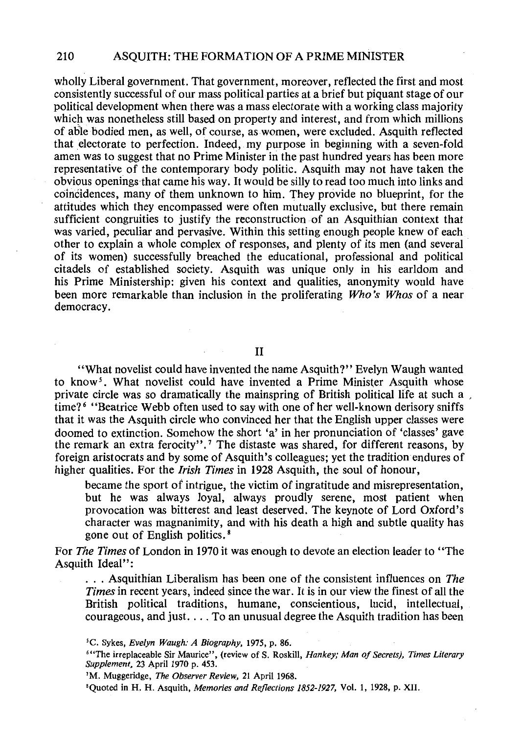wholly Liberal government. That government, moreover, reflected the first and most consistently successful of our mass political parties at a brief but piquant stage of our political development when there was a mass electorate with a working class majority which was nonetheless still based on property and interest, and from which millions of able bodied men, as well, of course, as women, were excluded. Asquith reflected that electorate to perfection. Indeed, my purpose in beginning with a seven-fold amen was to suggest that no Prime Minister in the past hundred years has been more representative of the contemporary body politic. Asquith may not have taken the obvious openings that came his way. It would be silly to read too much into links and coinCidences, many of them unknown to him. They provide no blueprint, for the attitudes which they encompassed were often mutually exclusive, but there remain sufficient congruities to justify the reconstruction of an Asquithian context that was varied, peculiar and pervasive. Within this setting enough people knew of each other to explain a whole complex of responses, and plenty of its men (and several of its women) successfully breached the educational, professional and political citadels of established society. Asquith was unique only in his earldom and his Prime Ministership: given his context and qualities, anonymity would have been more remarkable than inclusion in the proliferating *Who's Whos* of a near democracy.

II

"What novelist could have invented the name Asquith?" Evelyn Waugh wanted to know<sup>5</sup>. What novelist could have invented a Prime Minister Asquith whose private circle was so dramatically the mainspring of British political life at such a , time? 6 "Beatrice Webb often used to say with one of her well-known derisory sniffs that it was the Asquith circle who convinced her that the English upper classes were doomed to extinction. Somehow the short 'a' in her pronunciation of 'classes' gave the remark an extra ferocity". 7 The distaste was shared, for different reasons, by foreign aristocrats and by some of Asquith's colleagues; yet the tradition endures of higher qualities. For the *Irish Times* in 1928 Asquith, the soul of honour,

became the sport of intrigue, the victim of ingratitude and misrepresentation, but he was always loyal, always proudly serene, most patient when provocation was bitterest and least deserved. The keynote of Lord Oxford's character was magnanimity, and with his death a high and subtle quality has gone out of English politics. 8

For *The Times* of London in 1970 it was enough to devote an election leader to "The Asquith Ideal":

. . . Asquithian Liberalism has been one of the consistent influences on *The Times* in recent years, indeed since the war. It is in our view the finest of all the British political traditions, humane, conscientious, lucid, intellectual, courageous, and just. ... To an unusual degree the Asquith tradition has been

<sup>&#</sup>x27;C. Sykes, *Evelyn Waugh: A Biography,* 1975, p. 86.

<sup>&#</sup>x27;"The irreplaceable Sir Maurice", (review of S. Roskill, *Hankey; Man of Secrets), Times Literary Supplement*, 23 April 1970 p. 453.

<sup>&</sup>lt;sup>7</sup>M. Muggeridge, *The Observer Review*, 21 April 1968.

<sup>&#</sup>x27;Quoted in H. H. Asquith, *Memories and Reflections 1852-1927,* Vol. I, 1928, p. XII.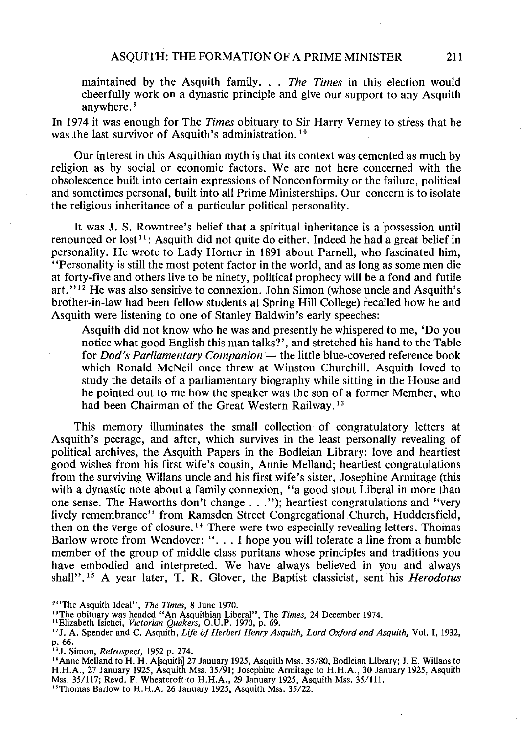maintained by the Asquith family ... *The Times* in this election would cheerfully work on a dynastic principle and give our support to any Asquith anywhere. <sup>9</sup>

In 1974 it was enough for The *Times* obituary to Sir Harry Verney to stress that he was the last survivor of Asquith's administration.<sup>10</sup>

Our interest in this Asquithian myth is that its context was cemented as much by religion as by social or economic factors. We are not here concerned with the obsolescence built into certain expressions of Nonconformity or the failure, political and sometimes personal, built into all Prime Ministerships. Our concern is to isolate the religious inheritance of a particular political personality.

It was J. S. Rowntree's belief that a spiritual inheritance is a possession until renounced or  $lost^{11}$ : Asquith did not quite do either. Indeed he had a great belief in personality. He wrote to Lady Horner in 1891 about Parnell, who fascinated him, ''Personality is still the most potent factor in the world, and as long as some men die at forty-five and others live to be ninety, political prophecy will be a fond and futile art." 12 He was also sensitive to connexion. John Simon (whose uncle and Asquith's brother-in-law had been fellow students at Spring Hill College) recalled how he and Asquith were listening to one of Stanley Baldwin's early speeches:

Asquith did not know who he was and presently he whispered to me, 'Do you notice what good English this man talks?', and stretched his hand to the Table for *Dod's Parliamentary Companion* - the little blue-covered reference book which Ronald McNeil once threw at Winston Churchill. Asquith loved to study the details of a parliamentary biography while sitting in the House and he pointed out to me how the speaker was the son of a former Member, who had been Chairman of the Great Western Railway.<sup>13</sup>

This memory illuminates the small collection of congratulatory letters at Asquith's peerage, and after, which survives in the least personally revealing of political archives, the Asquith Papers in the Bodleian Library: love and heartiest good wishes from his first wife's cousin, Annie Melland; heartiest congratulations from the surviving Willans uncle and his first wife's sister, Josephine Armitage (this with a dynastic note about a family connexion, "a good stout Liberal in more than one sense. The Haworths don't change ... "); heartiest congratulations and "very lively remembrance'' from Ramsden Street Congregational Church, Huddersfield, then on the verge of closure. 14 There were two especially revealing letters. Thomas Barlow wrote from Wendover: ". . . I hope you will tolerate a line from a humble member of the group of middle class puritans whose principles and traditions you have embodied and interpreted. We have always believed in you and always shall",<sup>15</sup> A year later, T. R. Glover, the Baptist classicist, sent his *Herodotus* 

<sup>&</sup>lt;sup>941</sup>The Asquith Ideal'', *The Times*, 8 June 1970.<br><sup>10</sup>The obituary was headed "An Asquithian Liberal'', The *Times*, 24 December 1974.<br>''Elizabeth Isichei, *Victorian Quakers*, O.U.P. 1970, p. 69.

<sup>&</sup>quot;J. A. Spender and C. Asquith, *Life of Herbert Henry Asquith, Lord Oxford and Asquith,* Vol. I, 1932, p. 66.<br><sup>13</sup>J. Simon, *Retrospect*, 1952 p. 274.

<sup>&</sup>lt;sup>14</sup> Anne Melland to H. H. A<sup>[squith]</sup> 27 January 1925, Asquith Mss. 35/80, Bodleian Library; J. E. Willans to H.H.A., 27 January 1925, Asquith Mss. 35/91; Josephine Armitage to H.H.A., 30 January 1925, Asquith Mss. 35/117; Revd. F. Wheatcroft to H.H.A., 29 January 1925, Asquith Mss. 35/111.

<sup>&</sup>lt;sup>15</sup> Thomas Barlow to H.H.A. 26 January 1925, Asquith Mss. 35/22.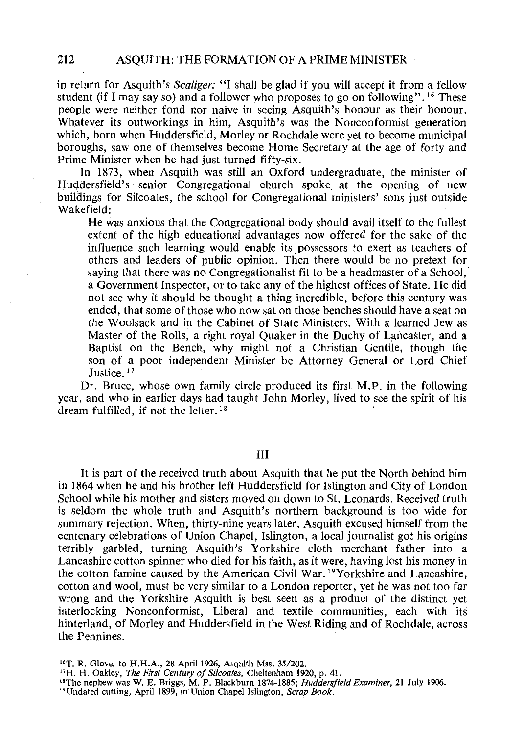in return for Asquith's *Scaliger:* "I shall be glad if you will accept it from a fellow student (if I may say so) and a follower who proposes to go on following''. 16 These people were neither fond nor naive in seeing Asquith's honour as their honour. Whatever its outworkings in him, Asquith's was the Nonconformist generation which, born when Huddersfield, Morley or Rochdale were yet to become municipal boroughs, saw one of themselves become Home Secretary at the age of forty and Prime Minister when he had just turned fifty-six.

In 1873, when Asquith was still an Oxford undergraduate, the minister of Huddersfield's senior Congregational church spoke at the opening of new buildings for Silcoates, the school for Congregational ministers' sons just outside Wakefield:

He was anxious that the Congregational body should avail itself to the fullest extent of the high educational advantages now offered for the sake of the influence such learning would enable its possessors to exert as teachers of others and leaders of public opinion. Then there would be no pretext for saying that there was no Congregationalist fit to be a headmaster of a School, a Government Inspector, or to take any of the highest offices of State. He did not see why it should be thought a thing incredible, before this century was ended, that some of those who now sat on those benches should have a seat on the Woolsack and in the Cabinet of State Ministers. With a learned Jew as Master of the Rolls, a right royal Quaker in the Duchy of Lancaster, and a Baptist on the Bench, why might not a Christian Gentile, though the son of a poor independent Minister be Attorney General or Lord Chief Justice.<sup>17</sup>

Dr. Bruce, whose own family circle produced its first M.P. in the following year, and who in earlier days had taught John Morley, lived to see the spirit of his dream fulfilled, if not the letter.<sup>18</sup>

III

It is part of the received truth about Asquith that he put the North behind him in 1864 when he and his brother left Huddersfield for Islington and City of London School while his mother and sisters moved on down to St. Leonards. Received truth is seldom the whole truth and Asquith's northern background is too wide for summary rejection. When, thirty-nine years later, Asquith excused himself from the centenary celebrations of Union Chapel, Islington, a local journalist got his origins terribly garbled, turning Asquith's Yorkshire cloth merchant father into a Lancashire cotton spinner who died for his faith, as it were, having lost his money in the cotton famine caused by the American Civil War. 19Yorkshire and Lancashire, cotton and wool, must be very similar to a London reporter, yet he was not too far wrong and the Yorkshire Asquith is best seen as a product of the distinct yet interlocking Nonconformist, Liberal and textile communities, each with its hinterland, of Morley and Huddersfield in the West Riding and of Rochdale, across the Pennines.

<sup>&</sup>lt;sup>16</sup>T. R. Glover to H.H.A., 28 April 1926, Asquith Mss. 35/202.<br><sup>17</sup>H. H. Oakley, *The First Century of Silcoates*, Cheltenham 1920, p. 41.<br><sup>18</sup>The nephew was W. E. Briggs, M. P. Blackburn 1874-1885; *Huddersfield Examiner*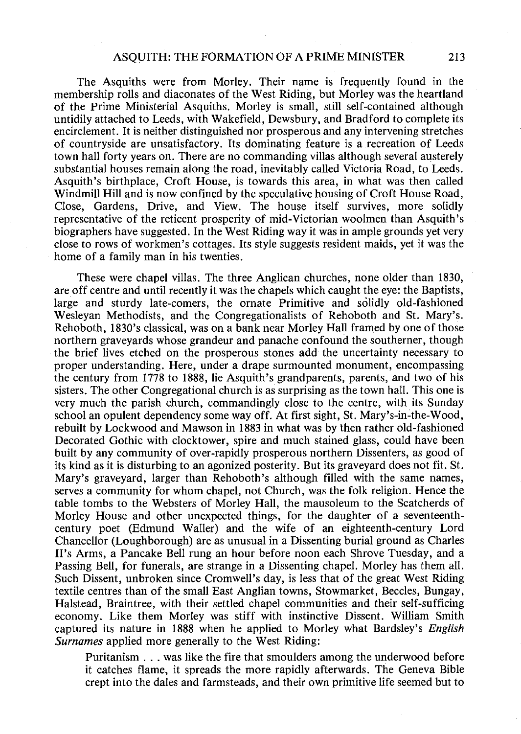The Asquiths were from Morley. Their name is frequently found in the membership rolls and diaconates of the West Riding, but Morley was the heartland of the Prime Ministerial Asquiths. Morley is small, still self-contained although untidily attached to Leeds, with Wakefield, Dewsbury, and Bradford to complete its encirclement. It is neither distinguished nor prosperous and any intervening stretches of countryside are unsatisfactory. Its dominating feature is a recreation of Leeds town hall forty years on. There are no commanding villas although several austerely substantial houses remain along the road, inevitably called Victoria Road, to Leeds. Asquith's birthplace, Croft House, is towards this area, in what was then called Windmill Hill and is now confined by the speculative housing of Croft House Road, Close, Gardens, Drive, and View. The house itself survives, more solidly representative of the reticent prosperity of mid-Victorian woolmen than Asquith's biographers have suggested. In the West Riding way it was in ample grounds yet very close to rows of workmen's cottages. Its style suggests resident maids, yet it was the home of a family man in his twenties.

These were chapel villas. The three Anglican churches, none older than 1830, are off centre and until recently it was the chapels which caught the eye: the Baptists, large and sturdy late-comers, the ornate Primitive and solidly old-fashioned Wesleyan Methodists, and the Congregationalists of Rehoboth and St. Mary's. Rehoboth, 1830's classical, was on a bank near Morley Hall framed by one of those northern graveyards whose grandeur and panache confound the southerner, though the brief lives etched on the prosperous stones add the uncertainty necessary to proper understanding. Here, under a drape surmounted monument, encompassing the century from 1778 to 1888, lie Asquith's grandparents, parents, and two of his sisters. The other Congregational church is as surprising as the town hall. This one is very much the parish church, commandingly close to the centre, with its Sunday school an opulent dependency some way off. At first sight, St. Mary's-in~the-Wood, rebuilt by Lockwood and Mawson in 1883 in what was by then rather old-fashioned Decorated Gothic with clocktower, spire and much stained glass, could have been built by any community of over-rapidly prosperous northern Dissenters, as good of its kind as it is disturbing to an agonized posterity. But its graveyard does not fit. St. Mary's graveyard, larger than Rehoboth's although filled with the same names, serves a community for whom chapel, not Church, was the folk religion. Hence the table tombs to the Websters of Morley Hall, the mausoleum to the Scatcherds of Morley House and other unexpected things, for the daughter of a seventeenthcentury poet (Edmund Waller) and the wife of an eighteenth-century Lord Chancellor (Loughborough) are as unusual in a Dissenting burial ground as Charles II's Arms, a Pancake Bell rung an hour before noon each Shrove Tuesday, and a Passing Bell, for funerals, are strange in a Dissenting chapel. Morley has them all. Such Dissent, unbroken since Cromwell's day, is less that of the great West Riding textile centres than of the small East Anglian towns, Stowmarket, Beccles, Bungay, Halstead, Braintree, with their settled chapel communities and their self-sufficing economy. Like them Morley was stiff with instinctive Dissent. William Smith captured its nature in 1888 when he applied to Morley what Bardsley's *English*  Surnames applied more generally to the West Riding:

Puritanism ... was like the fire that smoulders among the underwood before it catches flame, it spreads the more rapidly afterwards. The Geneva Bible crept into the dales and farmsteads, and their own primitive life seemed but to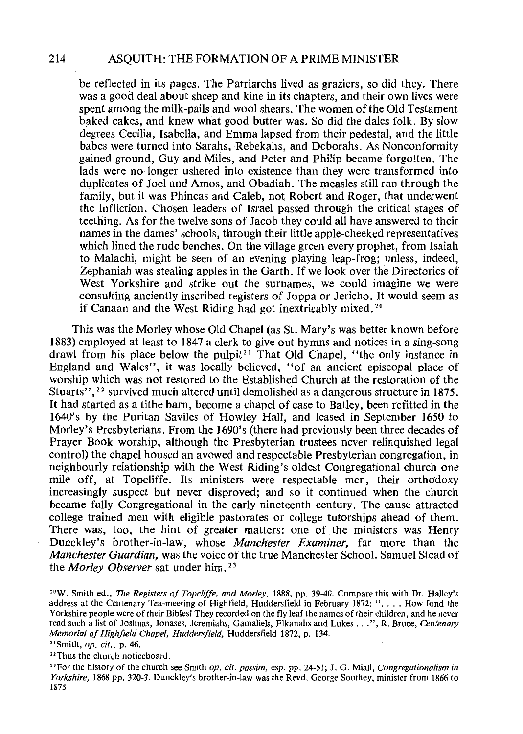be reflected in its pages. The Patriarchs lived as graziers, so did they. There was a good deal about sheep and kine in its chapters, and their own lives were spent among the milk-pails and wool shears. The women of the Old Testament baked cakes, and knew what good butter was. So did the dales folk. By slow degrees Cecilia, Isabella, and Emma lapsed from their pedestal, and the little babes were turned into Sarahs, Rebekahs, and Deborahs. As Nonconformity gained ground, Guy and Miles, and Peter and Philip became forgotten. The lads were no longer ushered into existence than they were transformed into duplicates of Joel and Amos, and Obadiah. The measles still ran through the family, but it was Phineas and Caleb, not Robert and Roger, that underwent the infliction. Chosen leaders of Israel passed through the critical stages of teething. As for the twelve sons of Jacob they could all have answered to their names in the dames' schools, through their little apple-cheeked representatives which lined the rude benches. On the village green every prophet, from Isaiah to Malachi, might be seen of an evening playing leap-frog; unless, indeed, Zephaniah was stealing apples in the Garth. If we look over the Directories of West Yorkshire and strike out the surnames, we could imagine we were consulting anciently inscribed registers of Joppa or Jericho. It would seem as if Canaan and the West Riding had got inextricably mixed. 20

This was the Morley whose Old Chapel (as St. Mary's was better known before 1883) employed at least to 1847 a clerk to give out hymns and notices in a sing-song drawl from his place below the pulpit<sup>21</sup> That Old Chapel, "the only instance in England and Wales", it was locally believed, "of an ancient episcopal place of worship which was not restored to the Established Church at the restoration of the Stuarts", 22 survived much altered until demolished as a dangerous structure in 1875. It had started as a tithe barn, become a chapel of ease to Batley, been refitted in the 1640's by the Puritan Saviles of Howley Hall, and leased in September 1650 to Morley's Presbyterians. From the 1690's (there had previously been three decades of Prayer Book worship, although the Presbyterian trustees never relinquished legal control) the chapel housed an avowed and respectable Presbyterian congregation, in neighbourly relationship with the West Riding's oldest Congregational church one mile off, at Topcliffe. Its ministers were respectable men, their orthodoxy increasingly suspect but never disproved; and so it continued when the church became fully Congregational in the early nineteenth century. The cause attracted college trained men with eligible pastorates or college tutorships ahead of them. There was, too, the hint of greater matters: one of the ministers was Henry Dunckley's brother-in-law, whose *Manchester Examiner,* far more than the *Manchester Guardian,* was the voice of the true Manchester School. Samuel Stead of the *Morley Observer* sat under him. 23

<sup>22</sup>Thus the church noticeboard.

<sup>&</sup>quot;W. Smith ed., *The Registers of Topclijfe, and Morley,* 1888, pp. 39-40. Compare this with Dr. Halley's address at the Centenary Tea-meeting of Highfield, Huddersfield in February 1872: ". . . . How fond the Yorkshire people were of their Bibles! They recorded on the fly leaf the names of their children, and he never read such a list of Joshuas, Jonases, Jeremiahs, Gamaliels, Elkanahs and Lukes ... ", R. Bruce, *Centenary Memorial of Highfield Chapel, Huddersfield,* Huddersfield 1872, p. 134.

<sup>&</sup>quot;Smith, *op. cit.,* p. 46.

<sup>&</sup>lt;sup>23</sup> For the history of the church see Smith *op. cit. passim,* esp. pp. 24-51; J. G. Miall, *Congregationalism in Yorkshire,* 1868 pp. 320-3. Dunckley's brother-in-law was the Revd. George Southey, minister from 1866 to 1875.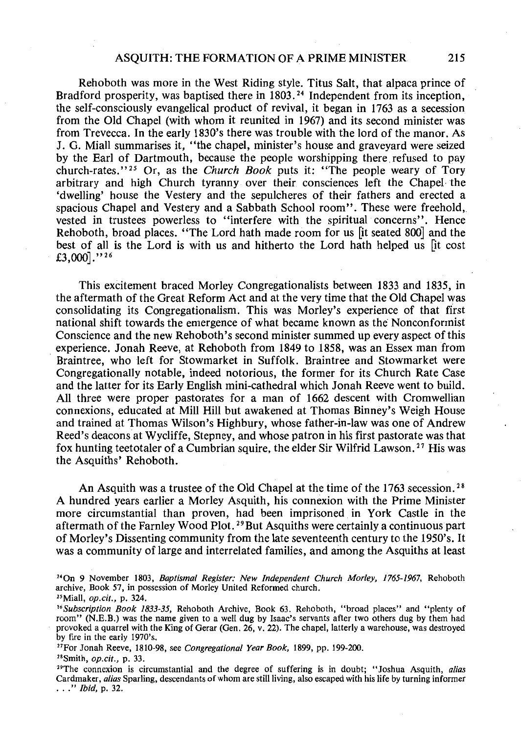Rehoboth was more in the West Riding style. Titus Salt, that alpaca prince of Bradford prosperity, was baptised there in 1803.<sup>24</sup> Independent from its inception, the self-consciously evangelical product of revival, it began in 1763 as a secession from the Old Chapel (with whom it reunited in 1967) and its second minister was from Trevecca. In the early 1830's there was trouble with the lord of the manor. As J. G. Miall summarises it, "the chapel, minister's house and graveyard were seized by the Earl of Dartmouth, because the people worshipping there refused to pay church-rates." 25 Or, as the *Church Book* puts it: "The people weary of Tory arbitrary and high Church tyranny over their consciences left the Chapel· the 'dwelling' house the Vestery and the sepulcheres of their fathers and erected a spacious Chapel and Vestery and a Sabbath School room". These were freehold, vested in trustees powerless to "interfere with the spiritual concerns". Hence Rehoboth, broad places. "The Lord hath made room for us [it seated 800] and the best of all is the Lord is with us and hitherto the Lord hath helped us [it cost £3,000]." 26

This excitement braced Morley Congregationalists between 1833 and 1835, in the aftermath of the Great Reform Act and at the very time that the Old Chapel was consolidating its Congregationalism. This was Morley's experience of that first national shift towards the emergence of what became known as the Nonconformist Conscience and the new Rehoboth's second minister summed up every aspect of this experience. Jonah Reeve, at Rehoboth from 1849 to 1858, was an Essex man from Braintree, who left for Stowmarket in Suffolk. Braintree and Stowmarket were Congregationally notable, indeed notorious, the former for its Church Rate Case and the latter for its Early English mini-cathedral which Jonah Reeve went to build. All three were proper pastorates for a man of 1662 descent with Cromwellian connexions, educated at Mill Hill but awakened at Thomas Binney's Weigh House and trained at Thomas Wilson's Highbury, whose father-in-law was one of Andrew Reed's deacons at Wycliffe, Stepney, and whose patron in his first pastorate was that fox hunting teetotaler of a Cumbrian squire, the elder Sir Wilfrid Lawson. 27 His was the Asquiths' Rehoboth.

An Asquith was a trustee of the Old Chapel at the time of the 1763 secession.<sup>28</sup> A hundred years earlier a Morley Asquith, his connexion with the Prime Minister more circumstantial than proven, had been imprisoned in York Castle in the aftermath of the Farnley Wood Plot.<sup>29</sup> But Asquiths were certainly a continuous part of Morley's Dissenting community from the late seventeenth century to the 1950's. It was a community of large and interrelated families, and among the Asquiths at least

<sup>&</sup>quot;On 9 November 1803, *Baptismal Register: New Independent Church Morley, 1765-1967,* Rehoboth archive, Book 57, in possession of Morley United Reformed church.

<sup>&</sup>quot;Miall, *op.cit.,* p. 324.

*<sup>&</sup>quot;Subscription Book 1833-35,* Rehoboth Archive, Book 63. Rehoboth, "broad places" and "plenty of room" (N.E.B.) was the name given to a well dug by Isaac's servants after two others dug by them had provoked a quarrel with the King of Gerar (Gen. 26, v. 22). The chapel, latterly a warehouse, was destroyed by fire in the early 1970's.

<sup>&</sup>quot;For Jonah Reeve, 1810-98, see *Congregational Year Book,* 1899, pp. 199-200.

<sup>&</sup>quot;Smith, *op.cit.,* p. 33.

<sup>&</sup>lt;sup>29</sup>The connexion is circumstantial and the degree of suffering is in doubt; "Joshua Asquith, *alias* Cardmaker, *alias* Sparling, descendants of whom are still living, also escaped with his life by turning informer ... " *Ibid,* p. 32.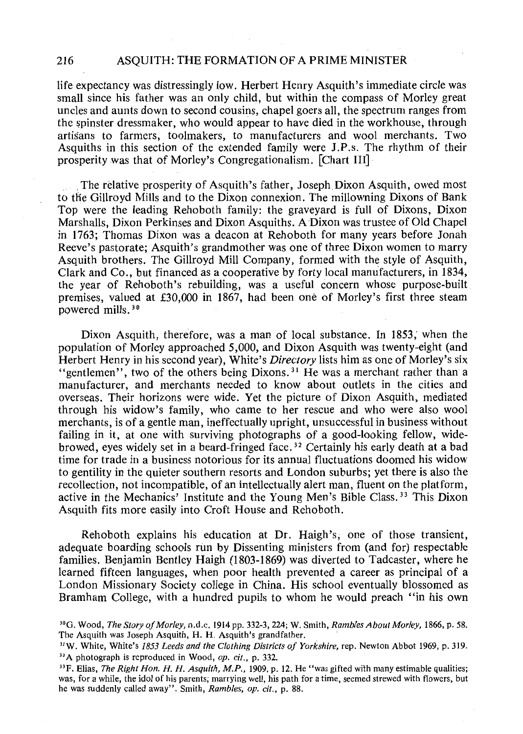life expectancy was distressingly low. Herbert Henry Asquith's immediate circle was small since his father was an only child, but within the compass of Morley great uncles and aunts down to second cousins, chapel goers all, the spectrum ranges from the spinster dressmaker, who would appear to have died in the workhouse, through artisans to farmers, toolmakers, to manufacturers and wool merchants. Two Asquiths in this section of the extended family were J.P.s. The rhythm of their prosperity was that of Morley's Congregationalism. [Chart III]

. The relative prosperity of Asquith's father, Joseph Dixon Asquith, owed most to tfie Gillroyd Mills and to the Dixon connexion. The millowning Dixons of Bank Top were the leading Rehoboth family: the graveyard is full of Dixons, Dixon Marshalls, Dixon Perkinses and Dixon Asquiths. A Dixon was trustee of Old Chapel in 1763; Thomas Dixon was a deacon at Rehoboth for many years before Jonah Reeve's pastorate; Asquith's grandmother was one of three Dixon women to marry Asquith brothers. The Gillroyd Mill Company, formed with the style of Asquith, Clark and Co., but financed as a cooperative by forty local manufacturers, in 1834, the year of Rehoboth's rebuilding, was a useful concern whose purpose-built premises, valued at £30,000 in 1867, had been one of Morley's first three steam powered mills. 30

Dixon Asquith, therefore, was a man of local substance. In 1853; when the population of Morley approached 5,000, and Dixon Asquith was twenty-eight (and Herbert Henry in his second year), White's *Directory* lists him as one of Morley's six "gentlemen", two of the others being Dixons.<sup>31</sup> He was a merchant rather than a manufacturer, and merchants needed to know about outlets in the cities and overseas. Their horizons were wide. Yet the picture of Dixon Asquith, mediated through his widow's family, who came to her rescue and who were also wool merchants, is of a gentle man, ineffectually upright, unsuccessful in business without failing in it, at one with surviving photographs of a good-looking fellow, widebrowed, eyes widely set in a beard-fringed face. 32 Certainly his early death at a bad time for trade in a business notorious for its annual fluctuations doomed his widow to gentility in the quieter southern resorts and London suburbs; yet there is also the recollection, not incompatible, of an intellectually alert man, fluent on the platform, active in the Mechanics' Institute and the Young Men's Bible Class. 33 This Dixon Asquith fits more easily into Croft House and Rehoboth.

Rehoboth explains his education at Dr. Haigh's, one of those transient, adequate boarding schools run by Dissenting ministers from (and for) respectable families. Benjamin Bentley Haigh (1803-1869) was diverted to Tadcaster, where he learned fifteen languages, when poor health prevented a career as principal of a London Missionary Society college in China. His school eventually blossomed as Bramham College, with a hundred pupils to whom he would preach "in his own

<sup>30</sup> 0. Wood, *The Story of Morley,* n.d.c. 1914pp. 332-3, 224; W. Smith, *Rambles About Morley,* 1866, p. 58. The Asquith was Joseph Asquith, H. H. Asquith's grandfather.

<sup>&</sup>quot;W. White, White's *1853 Leeds and the Clothing Districts of Yorkshire,* rep. Newton Abbot 1969, p. 319. <sup>31</sup>A photograph is reproduced in Wood, *op. cit.,* p. 332.

<sup>&</sup>lt;sup>33</sup>F. Elias, *The Right Hon. H. H. Asquith, M.P.*, 1909, p. 12. He "was gifted with many estimable qualities; was, for a while, the idol of his parents; marrying well, his path for a time, seemed strewed with flowers, but he was suddenly called away". Smith, *Rambles, op. cit.,* p. 88.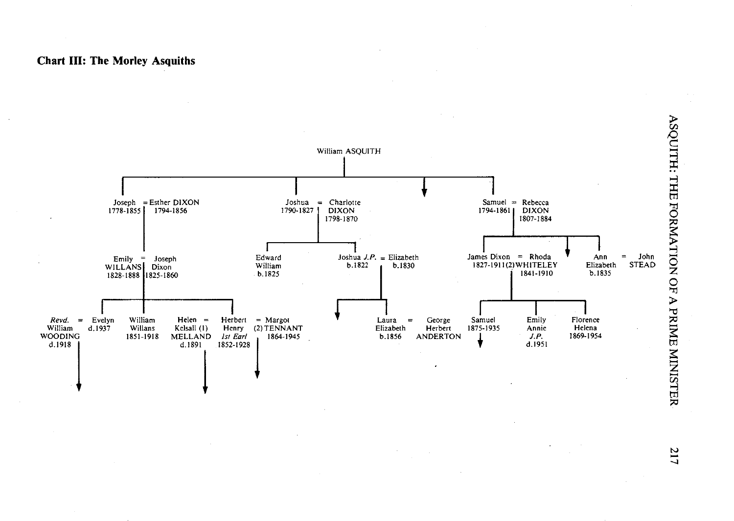#### **Chart III: The Morley Asquiths**



-...]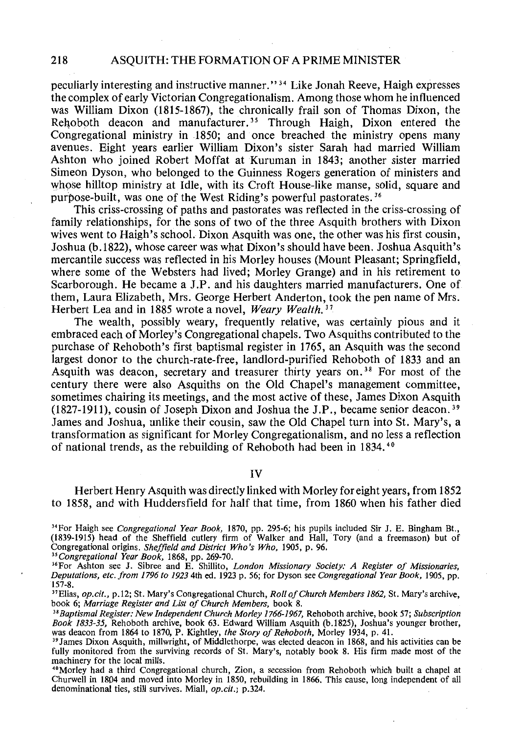peculiarly interesting and instructive manner.'' 3 4 Like Jonah Reeve, Haigh expresses the complex of early Victorian Congregationalism. Among those whom he influenced was William Dixon (1815-1867), the chronically frail son of Thomas Dixon, the Rehoboth deacon and manufacturer.<sup>35</sup> Through Haigh, Dixon entered the Congregational ministry in 1850; and once breached the ministry opens many avenues. Eight years earlier William Dixon's sister Sarah had married William Ashton who joined Robert Moffat at Kuruman in 1843; another sister married Simeon Dyson, who belonged to the Guinness Rogers generation of ministers and whose hilltop ministry at Idle, with its Croft House-like manse, solid, square and purpose-built, was one of the West Riding's powerful pastorates. 36

This criss-crossing of paths and pastorates was reflected in the criss-crossing of family relationships, for the sons of two of the three Asquith brothers with Dixon wives went to Haigh's schooL Dixon Asquith was one, the other was his first cousin, Joshua (b.1822), whose career was what Dixon's should have been. Joshua Asquith's mercantile success was reflected in his Morley houses (Mount Pleasant; Springfield, where some of the Websters had lived; Morley Grange) and in his retirement to Scarborough. He became a J.P. and his daughters married manufacturers. One of them, Laura Elizabeth, Mrs. George Herbert Anderton, took the pen name of Mrs. Herbert Lea and in 1885 wrote a novel, *Weary Wealth. 31* 

The wealth, possibly weary, frequently relative, was certainly pious and it embraced each of Morley's Congregational chapels. Two Asquiths contributed to the purchase of Rehoboth's first baptismal register in 1765, an Asquith was the second largest donor to the church-rate-free, landlord-purified Rehoboth of 1833 and an Asquith was deacon, secretary and treasurer thirty years on. 38 For most of the century there were also Asquiths on the Old Chapel's management committee, sometimes chairing its meetings, and the most active of these, James Dixon Asquith (1827-1911), cousin of Joseph Dixon and Joshua the J.P., became senior deacon.<sup>39</sup> James and Joshua, unlike their cousin, saw the Old Chapel turn into St. Mary's, a transformation as significant for Morley Congregationalism, and no less a reflection of national trends, as the rebuilding of Rehoboth had been in 1834. <sup>40</sup>

IV

Herbert Henry Asquith was directly linked with Morley for eight years, from 1852 to 1858, and with Huddersfield for half that time, from 1860 when his father died

<sup>34</sup> For Haigh see *Congregational Year Book*, 1870, pp. 295-6; his pupils included Sir J. E. Bingham Bt., (1839-1915) head of the Sheffield cutlery firm of Walker and Hall, Tory (and a freemason) but of Congregational origins. *Sheffield and District Who's Who,* 1905, p. 96.

*"Congregational Year Book,* 1868, pp. 269-70.

<sup>37</sup> Elias, *op.cit.*, p.12; St. Mary's Congregational Church, *Roll of Church Members 1862*, St. Mary's archive, book 6; *Marriage Register and List of Church Members*, book 8.

<sup>38</sup> Baptismal Register: New Independent Church Morley 1766-1967, Rehoboth archive, book 57; Subscription *Book 1833-35,* Rehoboth archive, book 63. Edward William Asquith (b.l825), Joshua's younger brother, was deacon from 1864 to 1870, P. Kightley, *the Story of Rehoboth*, Morley 1934, p. 41.<br><sup>39</sup> James Dixon Asquith, millwright, of Middlethorpe, was elected deacon in 1868, and his activities can be

fully monitored from the surviving records of St. Mary's, notably book 8. His firm made most of the machinery for the local mills.

"Morley had a third Congregational church, Zion, a secession from Rehoboth which built a chapel at Churwell in 1804 and moved into Morley in 1850, rebuilding in 1866. This cause, long independent of all denominational ties, still survives. Miall, *op.cit.*; p.324.

<sup>&</sup>lt;sup>36</sup> For Ashton see J. Sibree and E. Shillito, *London Missionary Society: A Register of Missionaries*, *Deputations, etc. from 1796 to 1923* 4th ed. 1923 p. 56; for Dyson see *Congregational Year Book,* 1905, pp. 157-8.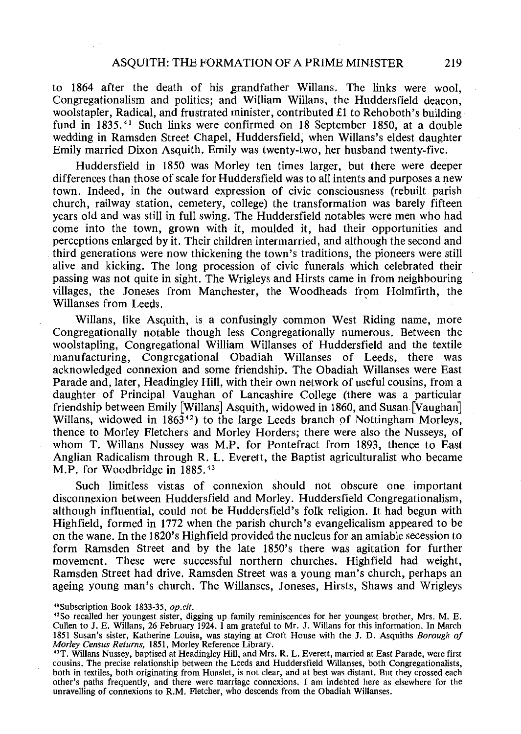to 1864 after the death of his grandfather Willans. The links were wool, Congregationalism and politics; and William Willans, the Huddersfield deacon, woolstapler, Radical, and frustrated minister, contributed £1 to Rehoboth's building fund in 1835. 41 Such links were confirmed on 18 September 1850, at a double wedding in Ramsden Street Chapel, Huddersfield, when Willans's eldest daughter Emily married Dixon Asquith. Emily was twenty-two, her husband twenty-five.

Huddersfield in 1850 was Morley ten times larger, but there were deeper differences than those of scale for Huddersfield was to all intents and purposes a new town. Indeed, in the outward expression of civic consciousness (rebuilt parish church, railway station, cemetery, college) the transformation was barely fifteen years old and was still in full swing. The Huddersfield notables were men who had come into the town, grown with it, moulded it, had their opportunities and perceptions enlarged by it. Their children intermarried, and although the second and third generations were now thickening the town's traditions, the pioneers were still alive and kicking. The long procession of civic funerals which celebrated their passing was not quite in sight. The Wrigleys and Hirsts came in from neighbouring villages, the Joneses from Manchester, the Woodheads from Holmfirth, the Willanses from Leeds.

Willans, like Asquith, is a confusingly common West Riding name, more Congregationally notable though less Congregationally numerous. Between the woolstapling, Congregational William Willanses of Huddersfield and the textile manufacturing, Congregational Obadiah Willanses of Leeds, there was acknowledged connexion and some friendship. The Obadiah Willanses were East Parade and, later, Headingley Hill, with their own network of useful cousins, from a daughter of Principal Vaughan of Lancashire College (there was a particular friendship between Emily [Willans] Asquith, widowed in 1860, and Susan [Vaughan] Willans, widowed in  $1863<sup>42</sup>$  to the large Leeds branch of Nottingham Morleys. thence to Morley Fletchers and Morley Horders; there were also the Nusseys, of whom T. Willans Nussey was M.P. for Pontefract from 1893, thence to East Anglian Radicalism through R. L. Everett, the Baptist agriculturalist who became M.P. for Woodbridge in 1885. <sup>43</sup>

Such limitless vistas of connexion should not obscure one important disconnexion between Huddersfield and Morley. Huddersfield Congregationalism, although influential, could not be Huddersfield's folk religion. It had begun with Highfield, formed in 1772 when the parish church's evangelicalism appeared to be on the wane. In the 1820's Highfield provided the nucleus for an amiable secession to form Ramsden Street and by the late 1850's there was agitation for further movement. These were successful northern churches. Highfield had weight, Ramsden Street had drive. Ramsden Street was a young man's church, perhaps an ageing young man's church. The Willanses, Joneses, Hirsts, Shaws and Wrigleys

<sup>&</sup>quot;Subscription Book 1833-35, *op.cit.* 

<sup>&</sup>quot;So recalled her youngest sister, digging up family reminiscences for her youngest brother, Mrs. M. E. Cullen to J. E. Willans, 26 February 1924. I am grateful to Mr. J. Willans for this information. In March 1851 Susan's sister, Katherine Louisa, was staying at Croft House with the J. D. Asquiths *Borough of Morley Census Returns,* 1851, Morley Reference Library.

<sup>&</sup>quot;T. Willans Nussey, baptised at Headingley Hill, and Mrs. R. L. Everett, married at East Parade, were first cousins. The precise relationship between the Leeds and Huddersfield Willanses, both Congregationalists, both in textiles, both originating from Hunslet, is not clear, and at best was distant. But they crossed each other's paths frequently, and there were marriage connexions. I am indebted here as elsewhere for the unravelling of connexions to R.M. Fletcher, who descends from the Obadiah Willanses.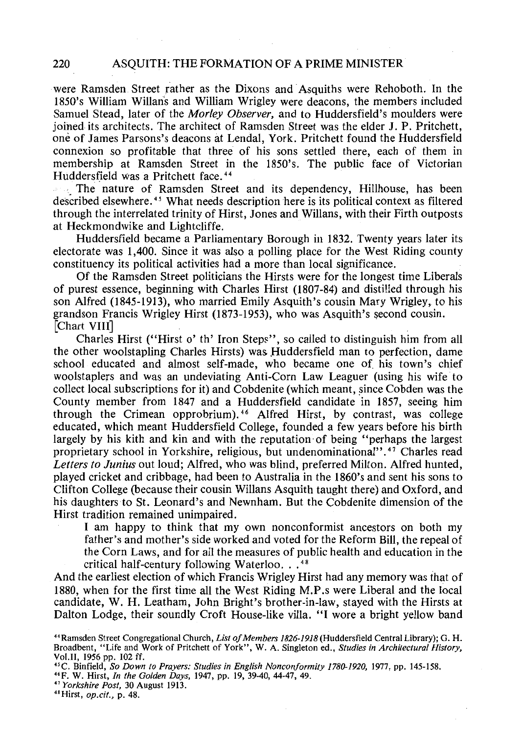were Ramsden Street rather as the Dixons and Asquiths were Rehoboth. In the 1850's William Willans and William Wrigley were deacons, the members included Samuel Stead, later of the *Morley Observer,* and to Huddersfield's moulders were joined its architects. The architect of Ramsden Street was the elder J. P. Pritchett, one of James Parsons's deacons at Lendal, York. Pritchett found the Huddersfield connexion so profitable that three of his sons settled there, each of them in membership at Ramsden Street in the 1850's. The public face of Victorian Huddersfield was a Pritchett face. 44

, The nature of Ramsden Street and its dependency, Hillhouse, has been described elsewhere. 45 What needs description here is its political context as filtered through the interrelated trinity of Hirst, Jones and Willans, with their Firth outposts at Heckmondwike and Lightcliffe.

Huddersfield became a Parliamentary Borough in 1832. Twenty years later its electorate was 1 ,400. Since it was also a polling place for the West Riding county constituency its political activities had a more than local significance.

Of the Ramsden Street politicians the Hirsts were for the longest time Liberals of purest essence, beginning with Charles Hirst (1807-84) and disti!ied through his son Alfred (1845-1913), who married Emily Asquith's cousin Mary Wrigley, to his grandson Francis Wrigley Hirst (1873-1953), who was Asquith's second cousin. [Chart VIII]

Charles Hirst ("Hirst o' th' Iron Steps", so called to distinguish him from all the other woolstapling Charles Hirsts) was Huddersfield man to perfection, dame school educated and almost self-made, who became one of his town's chief woolstaplers and was an undeviating Anti-Corn Law Leaguer (using his wife to collect local subscriptions for it) and Cobdenite (which meant, since Cobden was the County member from 1847 and a Huddersfield candidate in 1857, seeing him through the Crimean opprobrium). 46 Alfred Hirst, by contrast, was college educated, which meant Huddersfield College, founded a few years before his birth largely by his kith and kin and with the reputation of being "perhaps the largest proprietary school in Yorkshire, religious, but undenominational". 47 Charles read *Letters to Junius* out loud; Alfred, who was blind, preferred Milton. Alfred hunted, played cricket and cribbage, had been to Australia in the 1860's and sent his sons to Clifton College (because their cousin Willans Asquith taught there) and Oxford, and his daughters to St. Leonard's and Newnham. But the Cobdenite dimension of the Hirst tradition remained unimpaired.

I am happy to think that my own nonconformist ancestors on both my father's and mother's side worked and voted for the Reform Bill, the repeal of the Corn Laws, and for all the measures of public health and education in the critical half-century following Waterloo...<sup>48</sup>

And the earliest election of which Francis Wrigley Hirst had any memory was that of 1880, when for the first time all the West Riding M.P.s were Liberal and the local candidate, W. H. Leatham, John Bright's brother-in-law, stayed with the Hirsts at Dalton Lodge, their soundly Croft House-like villa. "I wore a bright yellow band

<sup>&</sup>quot;Ramsden Street Congregational Church, *List of Members 1826-1918* (Huddersfield Central Library); G. H. Broadbent, "Life and Work of Pritchett of York", W. A. Singleton ed., *Studies in Architectural History,*  Vol.II, 1956 pp. 102 ff.

<sup>&</sup>quot;C. Binfield, *So Down to Prayers: Studies in English Nonconformity 1780-1920,* 1977, pp. 145-158.

<sup>&</sup>quot;F. W. Hirst, *In the Golden Days,* 1947, pp. 19, 39-40, 44-47, 49. 41 *Yorkshire Post,* 30 August 1913.

<sup>&</sup>quot;Hirst, *op.cit.,* p. 48.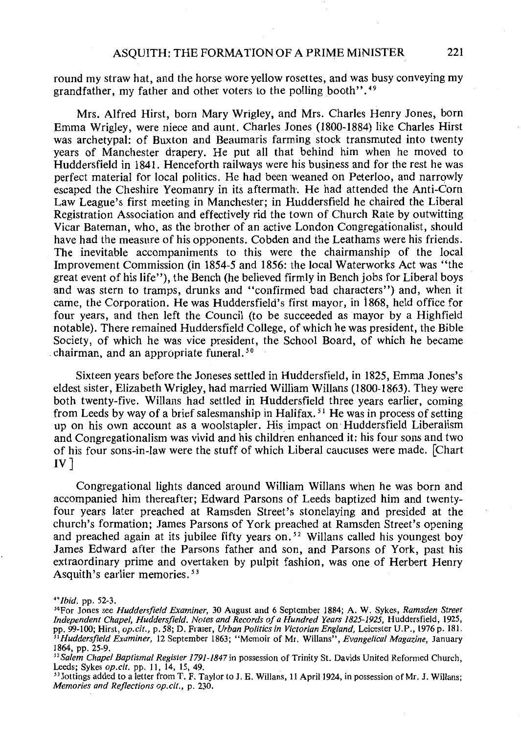round my straw hat, and the horse wore yellow rosettes, and was busy conveying my grandfather, my father and other voters to the polling booth". 49

Mrs. Alfred Hirst, born Mary Wrigley, and Mrs. Charles Henry Jones, born Emma Wrigley, were niece and aunt. Charles Jones (1800-1884) like Charles Hirst was archetypal: of Buxton and Beaumaris farming stock transmuted into twenty years of Manchester drapery. He put all that behind him when he moved to Huddersfield in 1841. Henceforth railways were his business and for the rest he was perfect material for local politics. He had been weaned on Peterloo, and narrowly escaped the Cheshire Yeomanry in its aftermath. He had attended the Anti-Corn Law League's first meeting in Manchester; in Huddersfield he chaired the Liberal Registration Association and effectively rid the town of Church Rate by outwitting Vicar Bateman, who, as the brother of an active London Congregationalist, should have had the measure of his opponents. Cobden and the Leathams were his friends. The inevitable accompaniments to this were the chairmanship of the local Improvement Commission (in 1854-5 and 1856: the local Waterworks Act was "the great event of his life''), the Bench (he believed firmly in Bench jobs for Liberal boys and was stern to tramps, drunks and "confirmed bad characters") and, when it came, the Corporation. He was Huddersfield's first mayor, in 1868, held office for four years, and then left the Council (to be succeeded as mayor by a Highfield notable). There remained Huddersfield College, of which he was president, the Bible Society, of which he was vice president, the School Board, of which he became chairman, and an appropriate funeral.<sup>50</sup>

Sixteen years before the Joneses settled in Huddersfield, in 1825, Emma Jones's eldest sister, Elizabeth Wrigley, had married William Willans (1800-1863). They were both twenty-five. Willans had settled in Huddersfield three years earlier, coming from Leeds by way of a brief salesmanship in Halifax.<sup>51</sup> He was in process of setting up on his own account as a woolstapler. His impact on· Huddersfield Liberalism and Congregationalism was vivid and his children enhanced it: his four sons and two of his four sons-in-law were the stuff of which Liberal caucuses were made. [Chart  $IV$ ]

Congregational lights danced around William Willans when he was born and accompanied him thereafter; Edward Parsons of Leeds baptized him and twentyfour years later preached at Ramsden Street's stonelaying and presided at the church's formation; James Parsons of York preached at Ramsden Street's opening and preached again at its jubilee fifty years on. *52* Willans called his youngest boy James Edward after the Parsons father and son, and Parsons of York, past his extraordinary prime and overtaken by pulpit fashion, was one of Herbert Henry Asquith's earlier memories. *<sup>53</sup>*

*<sup>&#</sup>x27;'Ibid.* pp. 52-3.

<sup>&</sup>quot;For Jones see *Huddersfield Examiner,* 30 August and 6 September 1884; A. W. Sykes, *Ramsden Street Independent Chapel, Huddersfield. Notes and Records of a Hundred Years 1825-1925,* Huddersfield, 1925, pp. 99-100; Hirst, *op.cit.,* p. 58; D. Fraser, *Urban Politics in Victorian England,* Leicester U.P., 1976 p. 181. <sup>31</sup>Huddersfield Examiner, 12 September 1863; "Memoir of Mr. Willans", *Evangelical Magazine*, January<br>1864, pp. 25-9.

<sup>&</sup>lt;sup>52</sup> Salem Chapel Baptismal Register 1791-1847 in possession of Trinity St. Davids United Reformed Church, Leeds; Sykes *op.cit.* pp. 11, 14, *15,* 49.

<sup>&</sup>lt;sup>53</sup> Jottings added to a letter from T. F. Taylor to J. E. Willans, 11 April 1924, in possession of Mr. J. Willans; *Memories and Reflections op.cit.,* p. 230.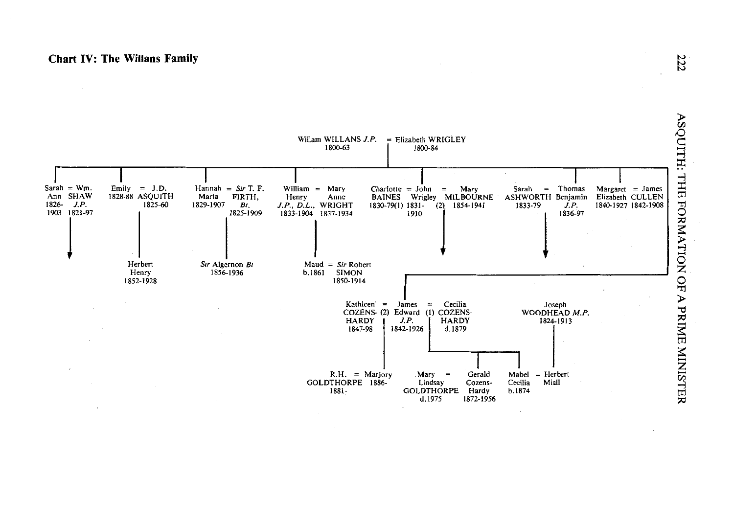#### **Chart IV: The Willans Family**



N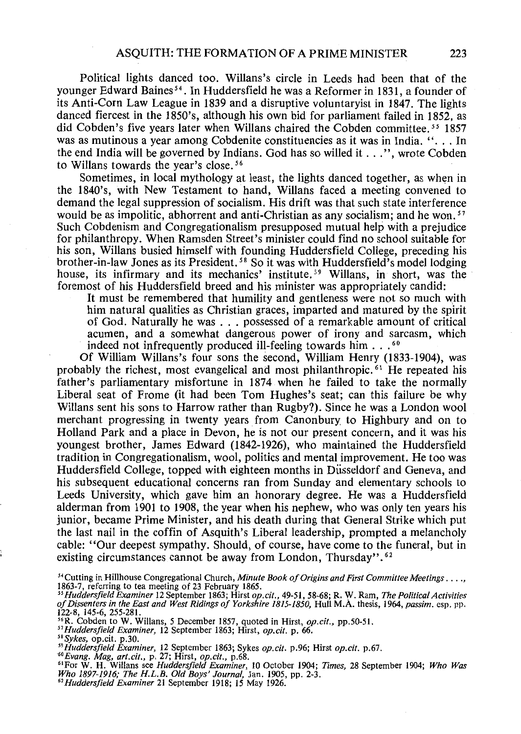Political lights danced too. Willans's circle in Leeds had been that of the younger Edward Baines *<sup>54</sup> •* In Huddersfield he was a Reformer in 1831, a founder of its Anti-Corn Law League in 1839 and a disruptive voluntaryist in 1847. The lights danced fiercest in the 1850's, although his own bid for parliament failed in 1852, as did Cobden's five years later when Willans chaired the Cobden committee. *55* 1857 was as mutinous a year among Cobdenite constituencies as it was in India. "... In the end India will be governed by Indians. God has so willed it  $\dots$  ", wrote Cobden to Willans towards the year's close. *<sup>56</sup>*

Sometimes, in local mythology at least, the lights danced together, as when in the 1840's, with New Testament to hand, Willans faced a meeting convened to demand the legal suppression of socialism. His drift was that such state interference would be as impolitic, abhorrent and anti-Christian as any socialism; and he won.<sup>57</sup> Such Cobdenism and Congregationalism presupposed mutual help with a prejudice for philanthropy. When Ramsden Street's minister could find no school suitable for his son, Willans busied himself with founding Huddersfield College, preceding his brother-in-law Jones as its President.<sup>58</sup> So it was with Huddersfield's model lodging house, its infirmary and its mechanics' institute. *59* Willans, in short, was the foremost of his Huddersfield breed and his minister was appropriately candid:

It must be remembered that humility and gentleness were not so much with him natural qualities as Christian graces, imparted and matured by the spirit of God. Naturally he was ... possessed of a remarkable amount of critical acumen, and a somewhat dangerous power of irony and sarcasm, which indeed not infrequently produced ill-feeling towards him . . .<sup>60</sup>

Of William Willans's four sons the second, William Henry (1833-1904), was probably the richest, most evangelical and most philanthropic.<sup>61</sup> He repeated his father's parliamentary misfortune in 1874 when he failed to take the normally Liberal seat of Frome (it had been Tom Hughes's seat; can this failure be why Willans sent his sons to Harrow rather than Rugby?). Since he was a London wool merchant progressing in twenty years from Canonbury to Highbury and on to Holland Park and a place in Devon, he is not our present concern, and it was his youngest brother, James Edward (1842-1926), who maintained the Huddersfield tradition in Congregationalism, wool, politics and mental improvement. He too was Huddersfield College, topped with eighteen months in Dusseldorf and Geneva, and his subsequent educational concerns ran from Sunday and elementary schools to Leeds University, which gave him an honorary degree. He was a Huddersfield alderman from 1901 to 1908, the year when his nephew, who was only ten years his junior, became Prime Minister, and his death during that General Strike which put the last nail in the coffin of Asquith's Liberal leadership, prompted a melancholy cable: "Our deepest sympathy. Should, of course, have come to the funeral, but in existing circumstances cannot be away from London, Thursday". 62

<sup>&</sup>lt;sup>54</sup> Cutting in Hillhouse Congregational Church, *Minute Book of Origins and First Committee Meetings* . . . .,<br>1863-7, referring to tea meeting of 23 February 1865.

*<sup>&</sup>quot;Huddersfield Examiner* 12 September 1863; Hirst *op.cit.,* 49-51, 58-68; R. W. Ram, *The Political Activities of Dissenters in the East and West Ridings of Yorkshire 1815-1850,* Hull M.A. thesis, 1964, *passim.* esp. pp. 122-8, 145-6, 255-281.

<sup>&</sup>lt;sup>56</sup>R. Cobden to W. Willans, 5 December 1857, quoted in Hirst, *op.cit.*, pp.50-51.

*<sup>&</sup>quot;Huddersfield Examiner,* 12 September 1863; Hirst, *op.cit.* p. 66.

staykes, op.cit. p.30.<br><sup>38</sup>Sykes, op.cit. p.30.<br><sup>39</sup>Huddersfield Examiner, 12 September 1863; Sykes op.cit. p.96; Hirst op.cit. p.67.

<sup>&</sup>lt;sup>59</sup> Huddersfield Examiner, 12 September 1863; Sykes op.cit. p.96; Hirst op.cit. p.67.<br><sup>60</sup> Evang. Mag, art.cit., p. 27; Hirst, op.cit., p.68.<br><sup>61</sup>For W. H. Willans see *Huddersfield Examiner,* 10 October 1904; *Times,* 28

*<sup>&</sup>quot;Huddersfield Examiner* 21 September 1918; 15 May 1926.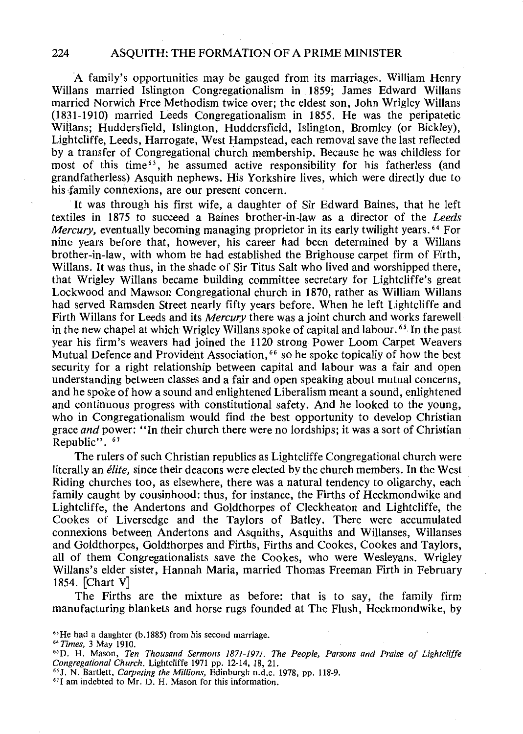A family's opportunities may be gauged from its marriages. William Henry Willans married Islington Congregationalism in 1859; James Edward Willans married Norwich Free Methodism twice over; the eldest son, John Wrigley Willans (1831-1910) married Leeds Congregationalism in 1855. He was the peripatetic Willans; Huddersfield, Islington, Huddersfield, Islington, Bromley (or Bickley), Lightcliffe, Leeds, Harrogate, West Hampstead, each removal save the last reflected by a transfer of Congregational church membership. Because he was childless for most of this time<sup> $63$ </sup>, he assumed active responsibility for his fatherless (and grandfatherless) Asquith nephews. His Yorkshire lives, which were directly due to his family connexions, are our present concern.

It was through his first wife, a daughter of Sir Edward Baines, that he left textiles in 1875 to succeed a Baines brother-in-law as a director of the *Leeds Mercury,* eventually becoming managing proprietor in its early twilight years. 64 For nine years before that, however, his career had been determined by a Willans brother-in-law, with whom he had established the Brighouse carpet firm of Firth, Willans. It was thus, in the shade of Sir Titus Salt who lived and worshipped there, that Wrigley Willans became building committee secretary for Lightcliffe's great Lockwood and Mawson Congregational church in 1870, rather as William Willans had served Ramsden Street nearly fifty years before. When he left Lightcliffe and Firth Willans for Leeds and its *Mercury* there was a joint church and works farewell in the new chapel at which Wrigley Willans spoke of capital and labour.<sup>65</sup> In the past year his firm's weavers had joined the 1120 strong Power Loom Carpet Weavers Mutual Defence and Provident Association,  $66$  so he spoke topically of how the best security for a right relationship between capital and labour was a fair and open understanding between classes and a fair and open speaking about mutual concerns, and he spoke of how a sound and enlightened Liberalism meant a sound, enlightened and continuous progress with constitutional safety. And he looked to the young, who in Congregationalism would find the best opportunity to develop Christian grace *and* power: "In their church there were no lordships; it was a sort of Christian Republic". 67

The rulers of such Christian republics as Lightcliffe Congregational church were literally an *elite,* since their deacons were elected by the church members. In the West Riding churches too, as elsewhere, there was a natural tendency to oligarchy, each family caught by cousinhood: thus, for instance, the Firths of Heckmondwike and Lightcliffe, the Andertons and Goldthorpes of Cleckheaton and Lightcliffe, the Cookes of Liversedge and the Taylors of Batley. There were accumulated connexions between Andertons and Asquiths, Asquiths and Willanses, Willanses and Goldthorpes, Goldthorpes and Firths, Firths and Cookes, Cookes and Taylors, all of them Congregationalists save the Cookes, who were Wesleyans. Wrigley Willans's elder sister, Hannah Maria, married Thomas Freeman Firth in February 1854. [Chart V]

The Firths are the mixture as before: that is to say, the family firm manufacturing blankets and horse rugs founded at The Flush, Heckmondwike, by

 $63$  He had a daughter (b.1885) from his second marriage.

*<sup>&</sup>quot;Times,* 3 May 1910.

<sup>&</sup>lt;sup>65</sup> D. H. Mason, *Ten Thousand Sermons 1871-1971. The People, Parsons and Praise of Lightcliffe Congregational Church.* Lightcliffe 1971 pp. 12-14, 18, 21.

<sup>&</sup>lt;sup>66</sup> J. N. Bartlett, *Carpeting the Millions*, Edinburgh n.d.c. 1978, pp. 118-9. <sup>67</sup>I am indebted to Mr. D. H. Mason for this information.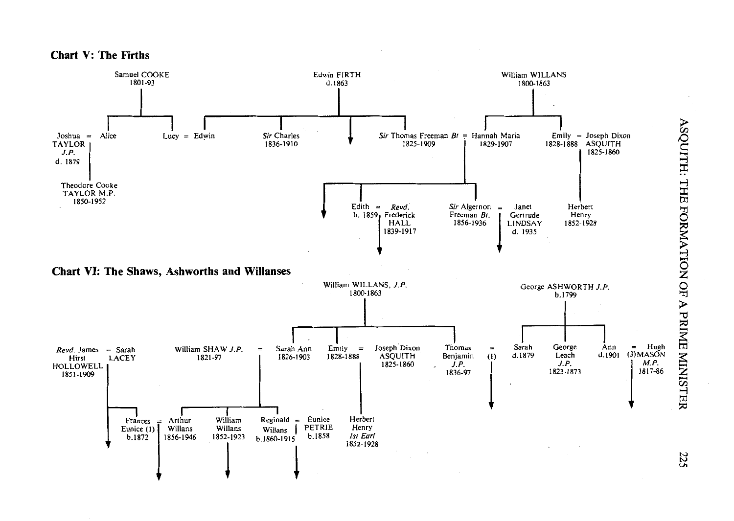



ASQUITH: THE FO IO NOE  $\sum_{i=1}^{\infty}$ trl INISTI

225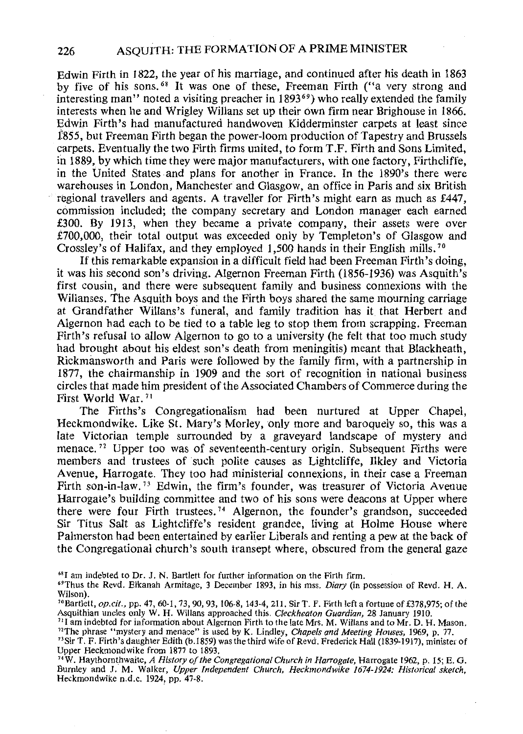Edwin Firth in 1822, the year of his marriage, and continued after his death in 1863 by five of his sons. 68 It was one of these, Freeman Firth ("a very strong and interesting man" noted a visiting preacher in 1893<sup>69</sup>) who really extended the family interests when he and Wrigley Willans set up their own firm near Brighouse in 1866. Edwin Firth's had manufactured handwoven Kidderminster carpets at least since 1'855, but Freeman Firth began the power-loom production of Tapestry and Brussels carpets. Eventually the two Firth firms united, to form T.F. Firth and Sons Limited, in 1889, by which time they were major manufacturers, with one factory, Firthcliffe, in the United States and plans for another in France. In the 1890's there were warehouses in London, Manchester and Glasgow, an office in Paris and six British regional travellers and agents. A traveller for Firth's might earn as much as £447, commission included; the company secretary and London manager each earned £300. By 1913, when they became a private company, their assets were over £700,000, their total output was exceeded only by Templeton's of Glasgow and Crossley's of Halifax, and they employed 1,500 hands in their English mills. 70

If this remarkable expansion in a difficult field had been Freeman Firth's doing, it was his second son's driving. Algernon Freeman Firth (1856-1936) was Asquith's first cousin, and there were subsequent family and business connexions with the Willanses. The Asquith boys and the Firth boys shared the same mourning carriage at Grandfather Willans's funeral, and family tradition has it that Herbert and Algernon had each to be tied to a table leg to stop them from scrapping. Freeman Firth's refusal to allow Algernon to go to a university (he felt that too much study had brought about his eldest son's death from meningitis) meant that Blackheath, Rickmansworth and Paris were followed by the family firm, with a partnership in 1877, the chairmanship in 1909 and the sort of recognition in national business circles that made him president of the Associated Chambers of Commerce during the First World War. 71

The Firths's Congregationalism had been nurtured at Upper Chapel, Heckmondwike. Like St. Mary's Morley, only more and baroquely so, this was a late Victorian temple surrounded by a graveyard landscape of mystery and menace.<sup>72</sup> Upper too was of seventeenth-century origin. Subsequent Firths were members and trustees of such polite causes as Lightcliffe, Ilkley and Victoria Avenue, Harrogate. They too had ministerial connexions, in their case a Freeman Firth son-in-law. 73 Edwin, the firm's founder, was treasurer of Victoria Avenue Harrogate's building committee and two of his sons were deacons at Upper where there were four Firth trustees. 74 Algernon, the founder's grandson, succeeded Sir Titus Salt as Lightcliffe's resident grandee, living at Holme House where Palmerston had been entertained by earlier Liberals and renting a pew at the back of the Congregational church's south transept where, obscured from the general gaze

 $<sup>68</sup>I$  am indebted to Dr. J. N. Bartlett for further information on the Firth firm.</sup>

"Sir T. F. Firth's daughter Edith (b.l859) was the third wife of Revd. Frederick Hall (1839-1917), minister of Upper Heckmondwike from 1877 to 1893.

"W. Haythornthwaite, *A History of the Congregational Church in Harrogate,* Harrogate 1962, p. 15; E. G. Burnley and J. M. Walker, *Upper Independent Church, Heckmondwike 1674-1924: Historical sketch,*  Heckmondwike n.d.c. 1924, pp. 47-8.

<sup>&</sup>quot;Thus the Revd. Elkanah Armitage, 3 December 1893, in his mss. *Diary* (in possession of Revd. H. A. Wilson).

<sup>&</sup>lt;sup>10</sup> Bartlett, *op.cit.*, pp. 47, 60-1, 73, 90, 93, 106-8, 143-4, 211. Sir T. F. Firth left a fortune of £378,975; of the Asquithian uncles only W. H. Willans approached this. Cleckheaton Guardian, 28 January 1910.

<sup>&</sup>lt;sup>11</sup>I am indebted for information about Algernon Firth to the late Mrs. M. Willans and to Mr. D. H. Mason. "The phrase "mystery and menace" is used by K. Lindley, *Chapels and Meeting Houses,* 1969, p. 77.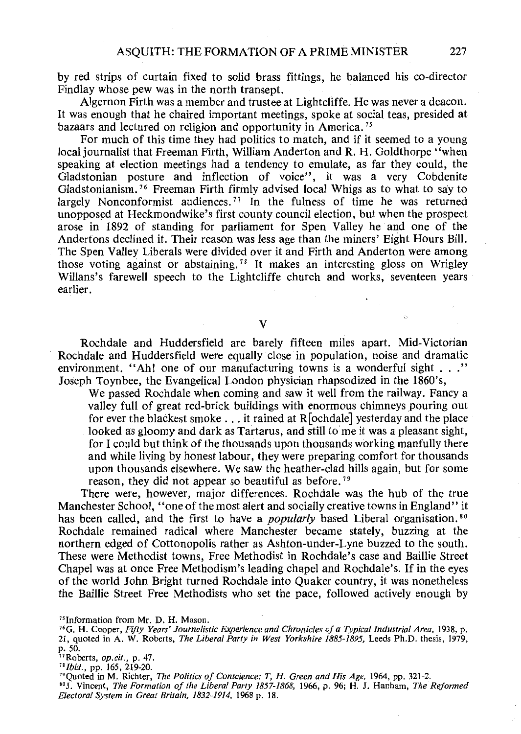by red strips of curtain fixed to solid brass fittings, he balanced his co-director Findlay whose pew was in the north transept.

Algernon Firth was a member and trustee at Lightcliffe. He was never a deacon. It was enough that he chaired important meetings, spoke at social teas, presided at bazaars and lectured on religion and opportunity in America.<sup>75</sup>

For much of this time they had politics to match, and if it seemed to a young local journalist that Freeman Firth, William Anderton and R. H. Goldthorpe "when speaking at election meetings had a tendency to emulate, as far they could, the Gladstonian posture and inflection of voice", it was a very Cobdenite Gladstonianism. 76 Freeman Firth firmly advised local Whigs as to what to say to largely Nonconformist audiences.<sup>77</sup> In the fulness of time he was returned unopposed at Heckmondwike's first county council election, but when the prospect arose in 1892 of standing for parliament for Spen Valley he and one of the Andertons declined it. Their reason was less age than the miners' Eight Hours Bill. The Spen Valley Liberals were divided over it and Firth and Anderton were among those voting against or abstaining. 78 It makes an interesting gloss on Wrigley Willans's farewell speech to the Lightcliffe church and works, seventeen years earlier.

v

Rochdale and Huddersfield are barely fifteen miles apart. Mid-Victorian Rochdale and Huddersfield were equally· close in population, noise and dramatic environment. "Ah! one of our manufacturing towns is a wonderful sight . . ." Joseph Toynbee, the Evangelical London physician rhapsodized in the 1860's,

We passed Rochdale when coming and saw it well from the railway. Fancy a valley full of great red-brick buildings with enormous chimneys pouring out for ever the blackest smoke ... it rained at R[ochdale] yesterday and the place looked as gloomy and dark as Tartarus, and still to me it was a pleasant sight, for I could but think of the thousands upon thousands working manfully there and while living by honest labour, they were preparing comfort for thousands upon thousands elsewhere. We saw the heather-clad hills again, but for some reason, they did not appear so beautiful as before.<sup>79</sup>

There were, however, major differences. Rochdale was the hub of the true Manchester School, "one of the most alert and socially creative towns in England" it has been called, and the first to have a *popularly* based Liberal organisation.<sup>80</sup> Rochdale remained radical where Manchester became stately, buzzing at the northern edged of Cottonopolis rather as Ashton-under-Lyne buzzed to the south. These were Methodist towns, Free Methodist in Rochdale's case and Baillie Street Chapel was at once Free Methodism's leading chapel and Rochdale's. If in the eyes of the world John Bright turned Rochdale into Quaker country, it was nonetheless the Baillie Street Free Methodists who set the pace, followed actively enough by

"Roberts, *op.cit.,* p. 47.

<sup>&</sup>lt;sup>1s</sup> Information from Mr. D. H. Mason.<br><sup>16</sup>G. H. Cooper, *Fifty Years' Journalistic Experience and Chronicles of a Typical Industrial Area, 1938*, p. 21, quoted in A. W. Roberts, *The Liberal Party in West Yorkshire 1885-1895,* Leeds Ph.D. thesis, 1979, p. 50.

<sup>78</sup>*Ibid.,* pp. 165, 219-20.

<sup>&</sup>quot;Quoted in M. Richter, *The Politics of Conscience: T, H. Green and His Age,* 1964, pp. 321-2.

<sup>&</sup>quot;J. Vincent, *The Formation of the Liberal Party 1857-1868,* 1966, p. 96; H. J. Hanham, *The Reformed Electoral System in Great Britain, 1832-1914,* 1968 p. 18.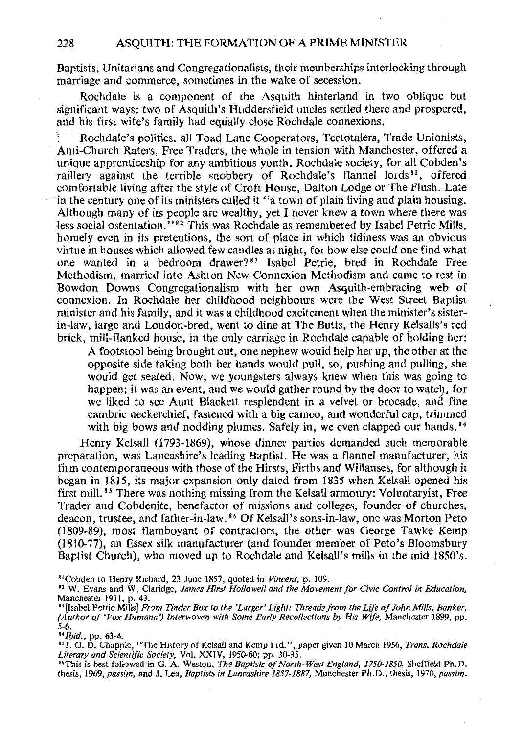Baptists, Unitarians and Congregationalists, their memberships interlocking through marriage and commerce, sometimes in the wake of secession.

Rochdale is a component of the Asquith hinterland in two oblique but significant ways: two of Asquith's Huddersfield uncles settled there and prospered, and his first wife's family had equally close Rochdale connexions.

Rochdale's politics, all Toad Lane Cooperators, Teetotalers, Trade Unionists, Anti-Church Raters, Free Traders, the whole in tension with Manchester, offered a unique apprenticeship for any ambitious youth. Rochdale society, for all Cobden's raillery against the terrible snobbery of Rochdale's flannel lords<sup>81</sup>, offered comfortable living after the style of Croft House, Dalton Lodge or The Flush. Late in the century one of its ministers called it "a town of plain living and plain housing. Although many of its people are wealthy, yet I never knew a town where there was less social ostentation."<sup>82</sup> This was Rochdale as remembered by Isabel Petrie Mills, homely even in its pretentions, the sort of place in which tidiness was an obvious virtue in houses which allowed few candles at night, for how else could one find what one wanted in a bedroom drawer? 83 Isabel Petrie, bred in Rochdale Free Methodism, married into Ashton New Connexion Methodism and came to rest in Bowdon Downs Congregationalism with her own Asquith-embracing web of connexion. In Rochdale her childhood neighbours were the West Street Baptist minister and his family, and it was a childhood excitement when the minister's sisterin-law, large and London-bred, went to dine at The Butts, the Henry Kelsalls's red brick, mill-flanked house, in the only carriage in Rochdale capable of holding her:

A footstool being brought out, one nephew would help her up, the other at the opposite side taking both her hands would pull, so, pushing and pulling, she would get seated. Now, we youngsters always knew when this was going to happen; it was an event, and we would gather round by the door to watch, for we liked to see Aunt Blackett resplendent in a velvet or brocade, and fine cambric neckerchief, fastened with a big cameo, and wonderful cap, trimmed with big bows and nodding plumes. Safely in, we even clapped our hands.<sup>84</sup>

Henry Kelsall (1793-1869), whose dinner parties demanded such memorable preparation, was Lancashire's leading Baptist. He was a flannel manufacturer, his firm contemporaneous with those of the Hirsts, Firths and Willanses, for although it began in 1815, its major expansion only dated from 1835 when Kelsall opened his first mill. *85* There was nothing missing from the Kelsall armoury: Voluntaryist, Free Trader and Cobdenite, benefactor of missions and colleges, founder of churches, deacon, trustee, and father-in-law. *86* Of Kelsall's sons-in-law, one was Morton Peto (1809-89), most flamboyant of contractors, the other was George Tawke Kemp (1810-77), an Essex silk manufacturer (and founder member of Peto's Bloomsbury Baptist Church), who moved up to Rochdale and Kelsall's mills in the mid 1850's.

*"Ibid.,* pp. 63-4.

"J. G. D. Chapple, "The History of Kelsall and Kemp Ltd.", paper given 10 March 1956, *Trans. Rochdale Literary and Scientific Society,* Vol. XXIV, 1950-60; pp. 30-35.

<sup>86</sup>This is best followed in G. A. Weston, *The Baptists of North-West England, 1750-1850*, Sheffield Ph.D. thesis, 1969, *passim,* and J. Lea, *Baptists in Lancashire 1837-1887,* Manchester Ph.D., thesis, 1970, *passim.* 

<sup>&</sup>lt;sup>81</sup> Cobden to Henry Richard, 23 June 1857, quoted in *Vincent*, p. 109.<br><sup>82</sup> W. Evans and W. Claridge, *James Hirst Hollowell and the Movement for Civic Control in Education*, Manchester 1911, p. 43.

<sup>&</sup>lt;sup>83</sup> [Isabel Petrie Mills] *From Tinder Box to the 'Larger' Light: Threads from the Life of John Mills, Banker, (Author of 'Vox Humana') Interwoven with Some Early Recollections by His Wife,* Manchester 1899, pp. 5-6.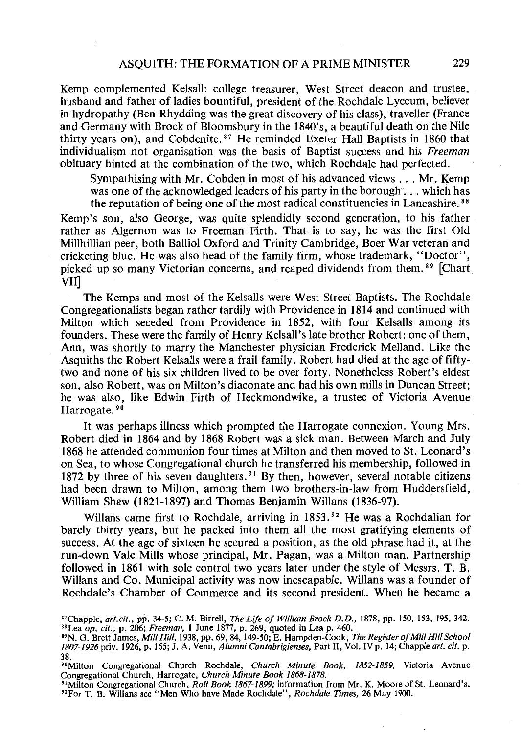Kemp complemented Kelsall: college treasurer, West Street deacon and trustee, husband and father of ladies bountiful, president of the Rochdale Lyceum, believer in hydropathy (Ben Rhydding was the great discovery of his class), traveller (France and Germany with Brock of Bloomsbury in the 1840's, a beautiful death on the Nile thirty years on), and Cobdenite. 87 He reminded Exeter Hall Baptists in 1860 that individualism not organisation was the basis of Baptist success and his *Freeman*  obituary hinted at the combination of the two, which Rochdale had perfected.

Sympathising with Mr. Cobden in most of his advanced views ... Mr. Kemp was one of the acknowledged leaders of his party in the borough... which has the reputation of being one of the most radical constituencies in Lancashire.<sup>88</sup>

Kemp's son, also George, was quite splendidly second generation, to his father rather as Algernon was to Freeman Firth. That is to say, he was the first Old Millhillian peer, both Balliol Oxford and Trinity Cambridge, Boer War veteran and cricketing blue. He was also head of the family firm, whose trademark, "Doctor", picked up so many Victorian concerns, and reaped dividends from them.<sup>89</sup> [Chart VII]

The Kemps and most of the Kelsalls were West Street Baptists. The Rochdale Congregationalists began rather tardily with Providence in 1814 and continued with Milton which seceded from Providence in 1852, with four Kelsalls among its founders. These were the family of Henry Kelsall's late brother Robert: one of them, Ann, was shortly to marry the Manchester physician Frederick Melland. Like the Asquiths the Robert Kelsalls were a frail family. Robert had died at the age of fiftytwo and none of his six children lived to be over forty. Nonetheless Robert's eldest son, also Robert, was on Milton's diaconate and had his own mills in Duncan Street; he was also, like Edwin Firth of Heckmondwike, a trustee of Victoria Avenue Harrogate.<sup>90</sup>

It was perhaps illness which prompted the Harrogate connexion. Young Mrs. Robert died in 1864 and by 1868 Robert was a sick man. Between March and July 1868 he attended communion four times at Milton and then moved to St. Leonard's on Sea, to whose Congregational church he transferred his membership, followed in 1872 by three of his seven daughters.<sup>91</sup> By then, however, several notable citizens had been drawn to Milton, among them two brothers-in-law from Huddersfield, William Shaw (1821-1897) and Thomas Benjamin Willans (1836-97).

Willans came first to Rochdale, arriving in 1853.<sup>92</sup> He was a Rochdalian for barely thirty years, but he packed into them all the most gratifying elements of success. At the age of sixteen he secured a position, as the old phrase had it, at the run-down Vale Mills whose principal, Mr. Pagan, was a Milton man. Partnership followed in 1861 with sole control two years later under the style of Messrs. T. B. Willans and Co. Municipal activity was now inescapable. Willans was a founder of Rochdale's Chamber of Commerce and its second president. When he became a

<sup>&</sup>quot;Chapple, *art. cit.,* pp. 34-5; C. M. Birrell, *The Life of William Brock D. D.,* 1878, pp. 150, 153, 195, 342. "Lea *op. cit.,* p. 206; *Freeman,* 1 June 1877, p. 269, quoted in Leap. 460.

<sup>&</sup>quot;N. G. Brett James, *Mill Hill,* 1938, pp. 69, 84, 149-50; E. Hampden-Cook, *The Register of Mill Hill School 1807-1926priv.* 1926, p. 165; J. A. Venn, *Alumni Cantabrigienses,* Part II, Vol. IV p. 14; Chapple *art. cit.* p. 38.

<sup>&</sup>quot;Milton Congregational Church Rochdale, *Church Minute Book, 1852-1859,* Victoria Avenue Congregational Church, Harrogate, *Church Minute Book 1868-1878.* 

<sup>&</sup>quot;Milton Congregational Church, *Roll Book 1867-1899;* information from Mr. K. Moore of St. Leonard's. "ForT. B. Willans see "Men Who have Made Rochdale", *Rochdale Times,* 26 May 1900.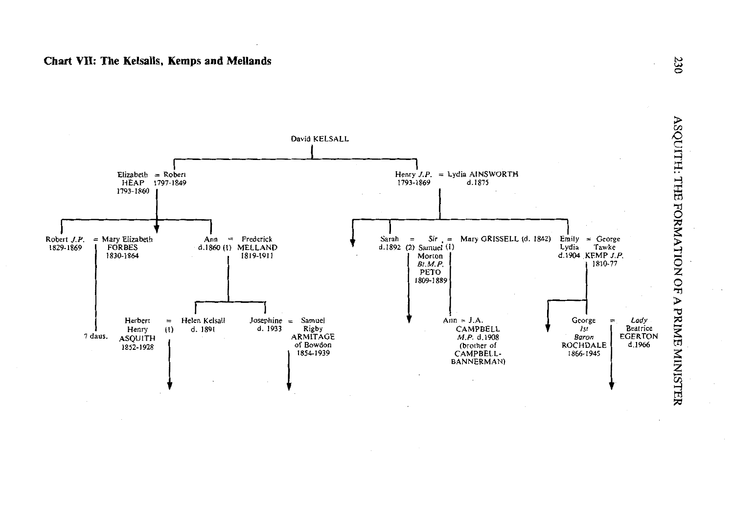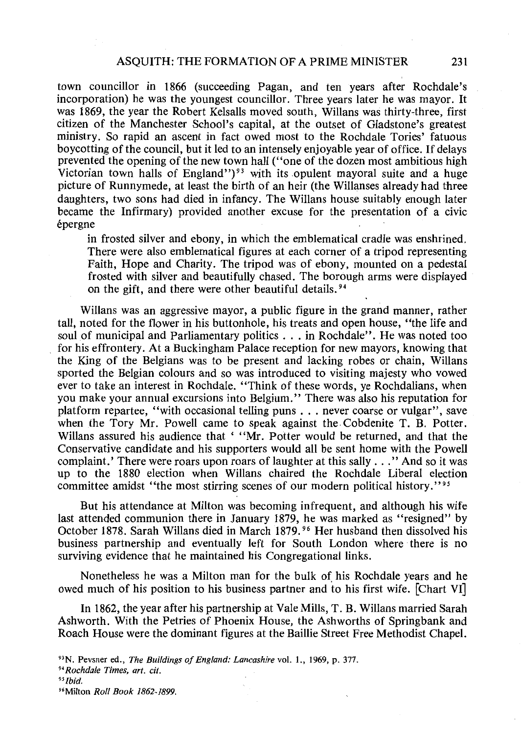town councillor in 1866 (succeeding Pagan, and ten years after Rochdale's incorporation) he was the youngest councillor. Three years later he was mayor. It was 1869, the year the Robert Kelsalls moved south, Willans was thirty-three, first citizen of the Manchester School's capital, at the outset of Gladstone's greatest ministry. So rapid an ascent in fact owed most to the Rochdale Tories' fatuous boycotting of the council, but it led to an intensely enjoyable year of office. If delays prevented the opening of the new town hall ("one of the dozen most ambitious high Victorian town halls of England")<sup>93</sup> with its opulent mayoral suite and a huge picture of Runnymede, at least the birth of an heir (the Willanses already had three daughters, two sons had died in infancy. The Willans house suitably enough later became the Infirmary) provided another excuse for the presentation of a civic epergne

in frosted silver and ebony, in which the emblematical cradle was enshrined. There were also emblematical figures at each corner of a tripod representing Faith, Hope and Charity. The tripod was of ebony, mounted on a pedestal frosted with silver and beautifully chased. The borough arms were displayed on the gift, and there were other beautiful details. 94

Willans was an aggressive mayor, a public figure in the grand manner, rather tall, noted for the flower in his buttonhole, his treats and open house, "the life and soul of municipal and Parliamentary politics ... in Rochdale". He was noted too for his effrontery. At a Buckingham Palace reception for new mayors, knowing that the King of the Belgians was to be present and lacking robes or chain, Willans sported the Belgian colours and so was introduced to visiting majesty who vowed ever to take an interest in Rochdale. "Think of these words, ye Rochdalians, when you make your annual excursions into Belgium." There was also his reputation for platform repartee, "with occasional telling puns ... never coarse or vulgar", save when the Tory Mr. Powell came to speak against the. Cobdenite T. B. Potter. Willans assured his audience that ' ''Mr. Potter would be returned, and that the Conservative candidate and his supporters would all be sent home with the Powell complaint.' There were roars upon roars of laughter at this sally ... '' And so it was up to the 1880 election when Willans chaired the Rochdale Liberal election committee amidst "the most stirring scenes of our modern political history."<sup>95</sup>

But his attendance at Milton was becoming infrequent, and although his wife last attended communion there in January 1879, he was marked as "resigned" by October 1878. Sarah Willans died in March 1879. 96 Her husband then dissolved his business partnership and eventually left for South London where there is no surviving evidence that he maintained his Congregational links.

Nonetheless he was a Milton man for the bulk of his Rochdale years and he owed much of his position to his business partner and to his first wife. [Chart VI]

In 1862, the year after his partnership at Vale Mills, T. B. Willans married Sarah Ashworth. With the Petries of Phoenix House, the Ashworths of Springbank and Roach House were the dominant figures at the Baillie Street Free Methodist Chapel.

<sup>&</sup>quot;N. Pevsner ed., *The Buildings of England: Lancashire* vol. 1., 1969, p. 377.

*<sup>&</sup>quot;Rochdale Times, art. cit.* 

*<sup>&</sup>quot;Ibid.* 

<sup>&</sup>quot;Milton *Roll Book 1862-1899.*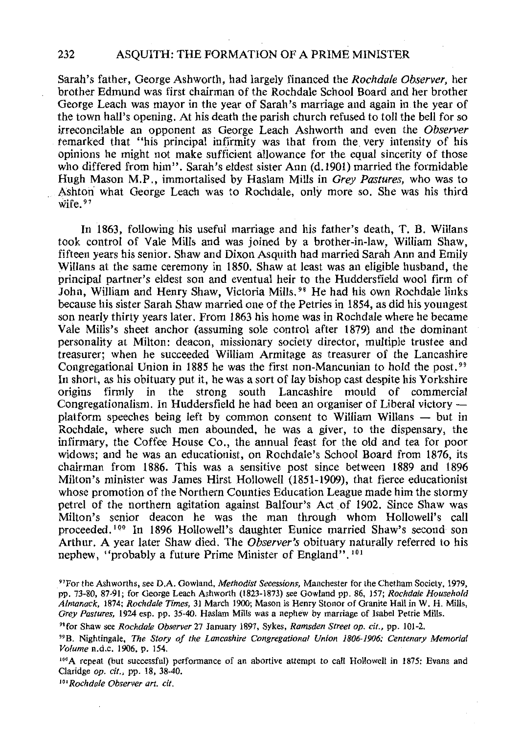Sarah's father, George Ashworth, had largely financed the *Rochdale Observer,* her brother Edmund was first chairman of the Rochdale School Board and her brother George Leach was mayor in the year of Sarah's marriage and again in the year of the town hall's opening. At his death the parish church refused to toll the bell for so irreconcilable an opponent as George Leach Ashworth and even the *Observer*  remarked that "his principal infirmity was that from the very intensity of his opinions he might not make sufficient allowance for the equal sincerity of those who differed from him". Sarah's eldest sister Ann (d.1901) married the formidable Hugh Mason M.P., immortalised by Haslam Mills in *Grey Pastures,* who was to Ashton what George Leach was to Rochdale, only more so. She was his third wife.<sup>97</sup>

In 1863, following his useful marriage and his father's death, T. B. Willans took control of Vale Mills and was joined by a brother-in-law, William Shaw, fifteen years his senior. Shaw and Dixon Asquith had married Sarah Ann and Emily Willans at the same ceremony in 1850. Shaw at least was an eligible husband, the principal partner's eldest son and eventual heir to the Huddersfield wool firm of John, William and Henry Shaw, Victoria Mills. 98 He had his own Rochdale links because his sister Sarah Shaw married one of the Petries in 1854, as did his youngest son nearly thirty years later. From 1863 his home was in Rochdale where he became Vale Mills's sheet anchor (assuming sole control after 1879) and the dominant personality at Milton: deacon, missionary society director, multiple trustee and treasurer; when he succeeded William Armitage as treasurer of the Lancashire Congregational Union in 1885 he was the first non-Mancunian to hold the post.<sup>99</sup> In short, as his obituary put it, he was a sort of lay bishop cast despite his Yorkshire origins firmly in the strong south Lancashire mould of commercial Congregationalism. In Huddersfield he had been an organiser of Liberal victory platform speeches being left by common consent to William Willans — but in Rochdale, where such men abounded, he was a giver, to the dispensary, the infirmary, the Coffee House Co., the annual feast for the old and tea for poor widows; and he was an educationist, on Rochdale's School Board from 1876, its chairman from 1886. This was a sensitive post since between 1889 and 1896 Milton's minister was James Hirst Hollowell (1851-1909), that fierce educationist whose promotion of the Northern Counties Education League made him the stormy petrel of the northern agitation against Balfour's Act of 1902. Since Shaw was Milton's senior deacon he was the man through whom Hollowell's call proceeded. 100 In 1896 Hollowell's daughter Eunice married Shaw's second son Arthur. A year later Shaw died. The *Observer's* obituary naturally referred to his nephew, "probably a future Prime Minister of England". 101

"for Shaw see *Rochdale Observer* 27 January 1897, Sykes, *Ramsden Street op. cit.,* pp. 101-2.

100 A repeat (but successful) performance of an abortive attempt to call Hollowell in 1875: Evans and Claridge *op. cit.,* pp. 18, 38-40.

101 *Rochdale Observer art. cit.* 

<sup>&</sup>quot;For the Ashworths, see D.A. Gowland, *Methodist Secessions,* Manchester for the Chetham Society, 1979, pp. 73-80, 87-91; for George Leach Ashworth (1823-1873) see Gowland pp. 86, 157; *Rochdale Household Almanack,* 1874; *Rochdale Times,* 31 March 1900; Mason is Henry Stonor of Granite Hall in W. H. Mills, *Grey Pastures,* 1924 esp. pp. 35-40. Haslam Mills was a nephew by marriage of Isabel Petrie Mills.

<sup>&</sup>quot;B. Nightingale, *The Story of the Lancashire Congregational Union 1806-1906: Centenary Memorial Volume* n.d.c. 1906, p. 154.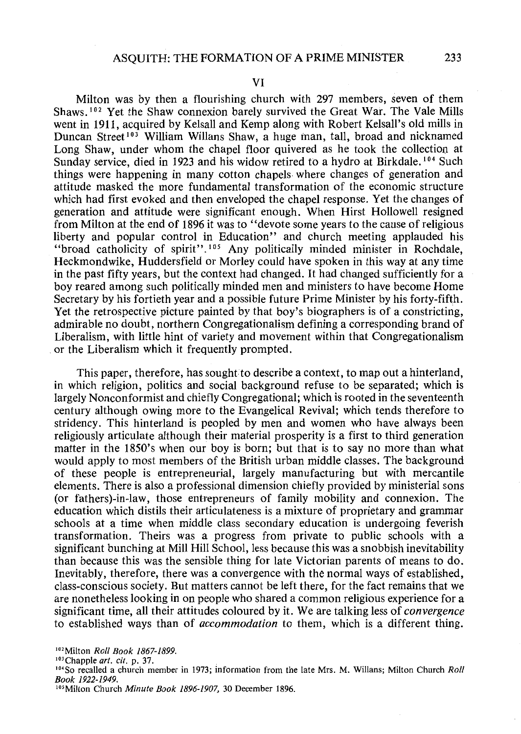Milton was by then a flourishing church with 297 members, seven of them Shaws. 102 Yet the Shaw connexion barely survived the Great War. The Vale Mills went in 1911, acquired by Kelsall and Kemp along with Robert Kelsall's old mills in Duncan Street 103 William Willans Shaw, a huge man, tall, broad and nicknamed Long Shaw, under whom the chapel floor quivered as he took the collection at Sunday service, died in 1923 and his widow retired to a hydro at Birkdale.<sup>104</sup> Such things were happening in many cotton chapels where changes of generation and attitude masked the more fundamental transformation of the economic structure which had first evoked and then enveloped the chapel response. Yet the changes of generation and attitude were significant enough. When Hirst Hollowell resigned from Milton at the end of 1896 it was to "devote some years to the cause of religious liberty and popular control in Education" and church meeting applauded his "broad catholicity of spirit". 105 Any politically minded minister in Rochdale, Heckmondwike, Huddersfield or Morley could have spoken in this way at any time in the past fifty years, but the context had changed. It had changed sufficiently for a boy reared among such politically minded men and ministers to have become Home Secretary by his fortieth year and a possible future Prime Minister by his forty-fifth. Yet the retrospective picture painted by that boy's biographers is of a constricting, admirable no doubt, northern Congregationalism defining a corresponding brand of Liberalism, with little hint of variety and movement within that Congregationalism or the Liberalism which it frequently prompted.

This paper, therefore, has sought to describe a context, to map out a hinterland, in which religion, politics and social background refuse to be separated; which is largely Nonconformist and chiefly Congregational; which is rooted in the seventeenth century although owing more to the Evangelical Revival; which tends therefore to stridency. This hinterland is peopled by men and women who have always been religiously articulate although their material prosperity is a first to third generation matter in the 1850's when our boy is born; but that is to say no more than what would apply to most members of the British urban middle classes. The background of these people is entrepreneurial, largely manufacturing but with mercantile elements. There is also a professional dimension chiefly provided by ministerial sons (or fathers)-in-law, those entrepreneurs of family mobility and connexion. The education which distils their articulateness is a mixture of proprietary and grammar schools at a time when middle class secondary education is undergoing feverish transformation. Theirs was a progress from private to public schools with a significant bunching at Mill Hill School, less because this was a snobbish inevitability than because this was the sensible thing for late Victorian parents of means to do. Inevitably, therefore, there was a convergence with the normal ways of established, class-conscious society. But matters cannot be left there, for the fact remains that we are nonetheless looking in on people who shared a common religious experience for a significant time, all their attitudes coloured by it. We are talking less of *convergence*  to established ways than of *accommodation* to them, which is a different thing.

<sup>&</sup>lt;sup>102</sup> Milton *Roll Book 1867-1899*.<br><sup>103</sup> Chapple *art. cit.* p. 37.

<sup>&</sup>lt;sup>104</sup> So recalled a church member in 1973; information from the late Mrs. M. Willans; Milton Church *Roll Book 1922-1949.* 

<sup>&</sup>lt;sup>105</sup> Milton Church *Minute Book 1896-1907*, 30 December 1896.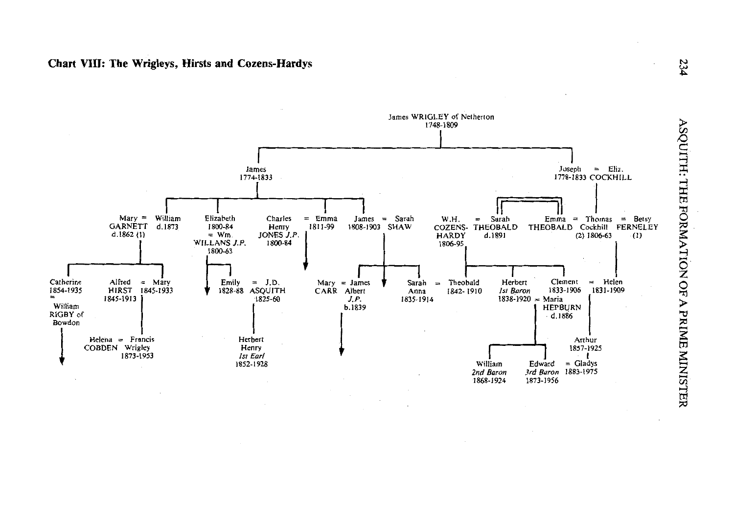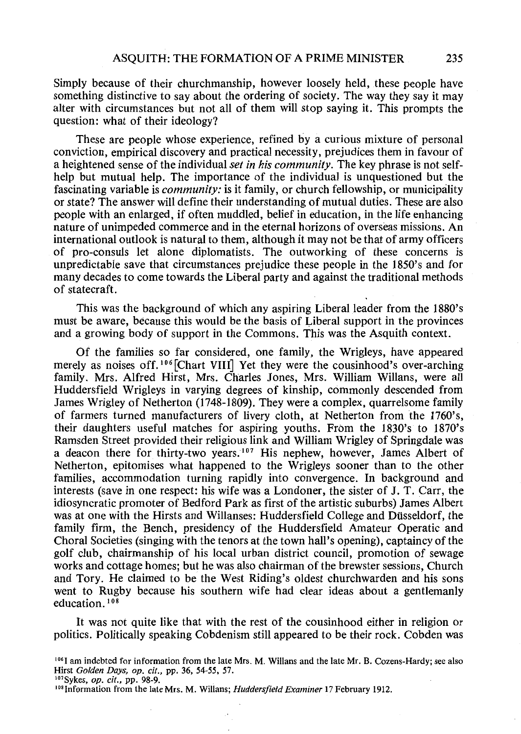Simply because of their churchmanship, however loosely held, these people have something distinctive to say about the ordering of society. The way they say it may alter with circumstances but not all of them will stop saying it. This prompts the question: what of their ideology?

These are people whose experience, refined by a curious mixture of personal conviction, empirical discovery and practical necessity, prejudices them in favour of a heightened sense of the individual *set in his community.* The key phrase is not selfhelp but mutual help. The importance of the individual is unquestioned but the fascinating variable is *community*: is it family, or church fellowship, or municipality or state? The answer will define their understanding of mutual duties. These are also people with an enlarged, if often muddled, belief in education, in the life enhancing nature of unimpeded commerce and in the eternal horizons of overseas missions. An international outlook is natural to them, although it may not be that of army officers of pro-consuls let alone diplomatists. The outworking of these concerns is unpredictable save that circumstances prejudice these people in the 1850's and for many decades to come towards the Liberal party and against the traditional methods of statecraft.

This was the background of which any aspiring Liberal leader from the 1880's must be aware, because this would be the basis of Liberal support in the provinces and a growing body of support in the Commons. This was the Asquith context.

Of the families so far considered, one family, the Wrigleys, have appeared merely as noises off.<sup>106</sup> [Chart VIII] Yet they were the cousinhood's over-arching family. Mrs. Alfred Hirst, Mrs. Charles Jones, Mrs. William Willans, were all Huddersfield Wrigleys in varying degrees of kinship, commonly descended from James Wrigley of Netherton (1748-1809). They were a complex, quarrelsome family of farmers turned manufacturers of livery cloth, at Netherton from the 1760's, their daughters useful matches for aspiring youths. From the 1830's to 1870's Ramsden Street provided their religious link and William Wrigley of Springdale was a deacon there for thirty-two years.<sup>107</sup> His nephew, however, James Albert of Netherton, epitomises what happened to the Wrigleys sooner than to the other families, accommodation turning rapidly into convergence. In background and interests (save in one respect: his wife was a Londoner, the sister of J. T. Carr, the idiosyncratic promoter of Bedford Park as first of the artistic suburbs) James Albert was at one with the Hirsts and Willanses: Huddersfield College and Dusseldorf, the family firm, the Bench, presidency of the Huddersfield Amateur Operatic and Choral Societies (singing with the tenors at the town hall's opening), captaincy of the golf club, chairmanship of his local urban district council, promotion of sewage works and cottage homes; but he was also chairman of the brewster sessions, Church and Tory. He claimed to be the West Riding's oldest churchwarden and his sons went to Rugby because his southern wife had clear ideas about a gentlemanly education.<sup>108</sup>

It was not quite like that with the rest of the cousinhood either in religion or politics. Politically speaking Cobdenism still appeared to be their rock. Cobden was

 $106$  I am indebted for information from the late Mrs. M. Willans and the late Mr. B. Cozens-Hardy; see also Hirst *Golden Days, op. cit.,* pp. 36, 54-55, 57.

<sup>&</sup>quot;'Sykes, *op. cit.,* pp. 98-9.

<sup>&</sup>lt;sup>108</sup> Information from the late Mrs. M. Willans; *Huddersfield Examiner* 17 February 1912.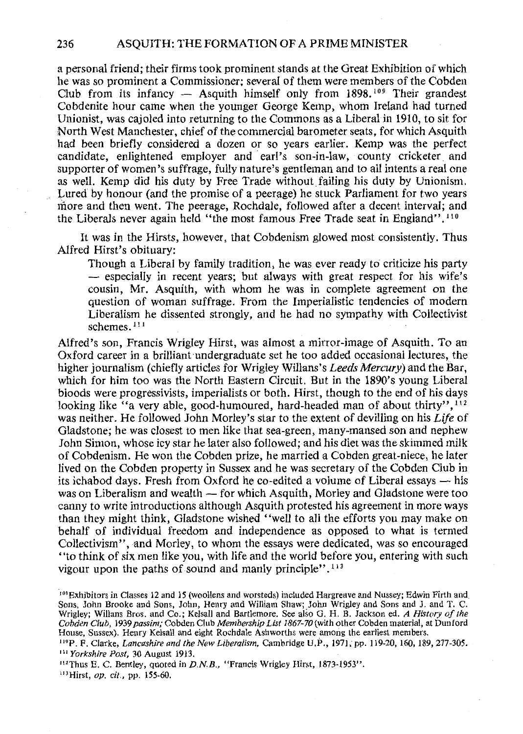a personal friend; their firms took prominent stands at the Great Exhibition of which he was so prominent a Commissioner; several of them were members of the Cobden Club from its infancy  $-$  Asquith himself only from 1898.<sup>109</sup> Their grandest Cobdenite hour came when the younger George Kemp, whom Ireland had turned Unionist, was cajoled into returning to the Commons as a Liberal in 1910, to sit for North West Manchester, chief of the commercial barometer seats, for which Asquith had been briefly considered a dozen or so years earlier. Kemp was the perfect candidate, enlightened employer and earl's son-in-law, county cricketer and supporter of women's suffrage, fully nature's gentleman and to all intents a real one as well. Kemp did his duty by Free Trade without failing his duty by Unionism. Lured by honour (and the promise of a peerage) he stuck Parliament for two years more and then went. The peerage, Rochdale, followed after a decent interval; and the Liberals never again held ''the most famous Free Trade seat in England''. 110

It was in the Hirsts, however, that Cobdenism glowed most consistently. Thus Alfred Hirst's obituary:

Though a Liberal by family tradition, he was ever ready to criticize his party - especially in recent years; but always with great respect for his wife's cousin, Mr. Asquith, with whom he was in complete agreement on the question of woman suffrage. From the Imperialistic tendencies of modern Liberalism he dissented strongly, and he had no sympathy with Collectivist schemes. 111

Alfred's son, Francis Wrigley Hirst, was almost a mirror-image of Asquith. To an Oxford career in a brilliant undergraduate set he too added occasional lectures, the higher journalism (chiefly articles for Wrigley Willans's *Leeds Mercury)* and the Bar, which for him too was the North Eastern Circuit. But in the 1890's young Liberal bloods were progressivists, imperialists or both. Hirst, though to the end of his days looking like "a very able, good-humoured, hard-headed man of about thirty",  $112$ was neither. He followed John Morley's star to the extent of devilling on his *Life* of Gladstone; he was closest to men like that sea-green, many-mansed son and nephew John Simon, whose icy star he later also followed; and his diet was the skimmed milk of Cobdenism. He won the Cobden prize, he married a Cobden great-niece, he later lived on the Cobden property in Sussex and he was secretary of the Cobden Club in its ichabod days. Fresh from Oxford he co-edited a volume of Liberal essays  $-$  his was on Liberalism and wealth - for which Asquith, Morley and Gladstone were too canny to write introductions although Asquith protested his agreement in more ways than they might think, Gladstone wished "well to all the efforts you may make on behalf of individual freedom and independence as opposed to what is termed Collectivism", and Morley, to whom the essays were dedicated, was so encouraged "to think of six men like you, with life and the world before you, entering with such vigour upon the paths of sound and manly principle". 113

'"Hirst, *op. cit.,* pp. 155-60.

<sup>109</sup> Exhibitors in Classes 12 and 15 (woollens and worsteds) included Hargreave and Nussey; Edwin Firth and Sons, John Brooke and Sons, John, Henry and William Shaw; John Wrigley and Sons and J. and T. C. Wrigley; Willans Bros. and Co.; Kelsall and Bartlemore. See also G. H. B. Jackson ed. *A History of the Cobden Club,* 1939 *passim;* Cobden Club *Membership List 1867-70* (with other Cobden material, at Dunford

House, Sussex). Henry Kelsall and eight Rochdale Ashworths were among the earliest members.<br><sup>119</sup>P. F. Clarke, *Lancashire and the New Liberalism*, Cambridge U.P., 1971, pp. 119-20, 160, 189, 277-305.<br><sup>111</sup> Yorkshire Post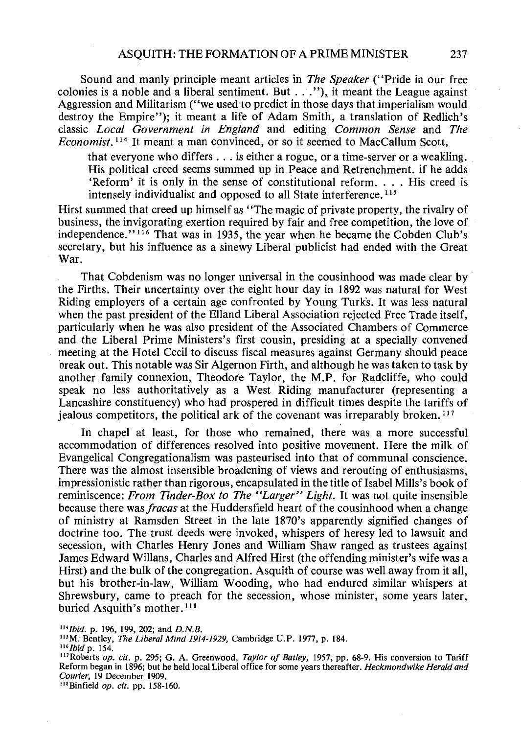Sound and manly principle meant articles in *The Speaker* (''Pride in our free colonies is a noble and a liberal sentiment. But ... "), it meant the League against Aggression and Militarism ("we used to predict in those days that.imperialism would destroy the Empire"); it meant a life of Adam Smith, a translation of Redlich's classic *Local Government in England* and editing *Common Sense* and *The Economist.* <sup>114</sup> It meant a man convinced, or so it seemed to MacCallum Scott,

that everyone who differs  $\ldots$  is either a rogue, or a time-server or a weakling. His political creed seems summed up in Peace and Retrenchment. if he adds 'Reform' it is only in the sense of constitutional reform... His creed is intensely individualist and opposed to all State interference. 115

Hirst summed that creed up himself as ''The magic of private property, the rivalry of business, the invigorating exertion required by fair and free competition, the love of independence."  $116$  That was in 1935, the year when he became the Cobden Club's secretary, but his influence as a sinewy Liberal publicist had ended with the Great War.

That Cobdenism was no longer universal in the cousinhood was made clear by the Firths. Their uncertainty over the eight hour day in 1892 was natural for West Riding employers of a certain age confronted by Young Turk's. It was less natural when the past president of the Eiland Liberal Association rejected Free Trade itself, particularly when he was also president of the Associated Chambers of Commerce and the Liberal Prime Ministers's first cousin, presiding at a specially convened meeting at the Hotel Cecil to discuss fiscal measures against Germany should peace break out. This notable was Sir Algernon Firth, and although he was taken to task by another family connexion, Theodore Taylor, the M.P. for Radcliffe, who could speak no less authoritatively as a West Riding manufacturer (representing a Lancashire constituency) who had prospered in difficult times despite the tariffs of jealous competitors, the political ark of the covenant was irreparably broken. 117

In chapel at least, for those who remained, there was a more successful accommodation of differences resolved into positive movement. Here the milk of Evangelical Congregationalism was pasteurised into that of communal conscience. There was the almost insensible broadening of views and rerouting of enthusiasms, impressionistic rather than rigorous, encapsulated in the title of Isabel Mills's book of reminiscence: *From Tinder-Box to The "Larger" Light.* It was not quite insensible because there was *fracas* at the Huddersfield heart of the cousinhood when a change of ministry at Ramsden Street in the late 1870's apparently signified changes of doctrine too. The trust deeds were invoked, whispers of heresy led to lawsuit and secession, with Charles Henry Jones and William Shaw ranged as trustees against James Edward Willans, Charles and Alfred Hirst (the offending minister's wife was a Hirst) and the bulk of the congregation. Asquith of course was well.away from it all, but his brother-in-law, William Wooding, who had endured similar whispers at Shrewsbury, came to preach for the secession, whose minister, some years later, buried Asquith's mother.<sup>118</sup>

*'"Ibid.* p. 196, 199, 202; and *D.N.B.* 

<sup>115</sup>M. Bentley, *The Liberal Mind 1914-1929*, Cambridge U.P. 1977, p. 184.<br><sup>116</sup>*Ibid* p. 154.

<sup>&</sup>lt;sup>117</sup>Roberts *op. cit.* p. 295; G. A. Greenwood, *Taylor of Batley*, 1957, pp. 68-9. His conversion to Tariff Reform began in 1896; but he held local Liberal office for some years thereafter. *Heckmondwike Herald and* 

<sup>&</sup>lt;sup>118</sup> Binfield *op. cit.* pp. 158-160.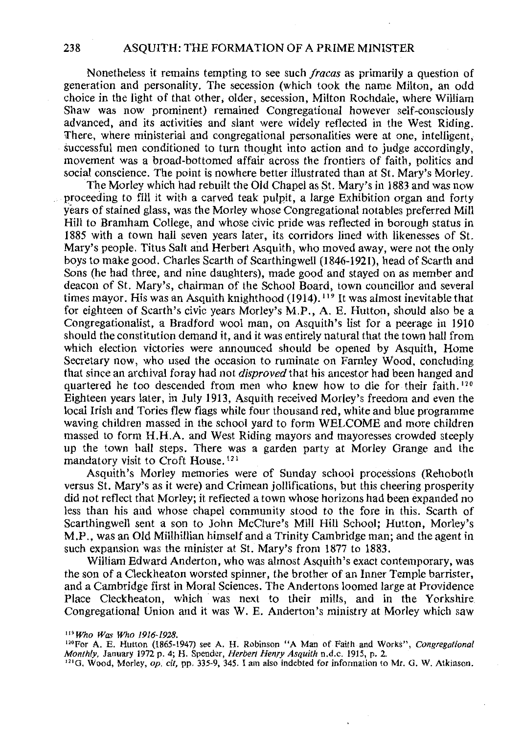Nonetheless it remains tempting to see such *fracas* as primarily a question of generation and personality. The secession (which took the name Milton, an odd choice in the light of that other, older, secession, Milton Rochdale, where William Shaw was now prominent) remained Congregational however self-consciously advanced, and its activities and slant were widely reflected in the West Riding. There, where ministerial and congregational personalities were at one, intelligent, successful men conditioned to turn thought into action and to judge accordingly, movement was a broad-bottomed affair across the frontiers of faith, politics and social conscience. The point is nowhere better illustrated than at St. Mary's Morley.

The Morley which had rebuilt the Old Chapel as St. Mary's in 1883 and was now proceeding to fill it with a carved teak pulpit, a large Exhibition organ and forty years of stained glass, was the Morley whose Congregational notables preferred Mill Hill to Bramham College, and whose civic pride was reflected in borough status in 1885 with a town hall seven years later, its corridors lined with likenesses of St. Mary's people. Titus Salt and Herbert Asquith, who moved away, were not the only boys to make good. Charles Scarth of Scarthingwell (1846-1921), head of Scarth and Sons (he had three, and nine daughters), made good and stayed on as member and deacon of St. Mary's, chairman of the School Board, town councillor and several times mayor. His was an Asquith knighthood (1914). 119 It was almost inevitable that for eighteen of Scarth's civic years Morley's M.P., A. E. Hutton, should also be a Congregationalist, a Bradford wool man, on Asquith's list for a peerage in 1910 should the constitution demand it, and it was entirely natural that the town hall from which election victories were announced should be opened by Asquith, Home Secretary now, who used the occasion to ruminate on Farnley Wood, concluding that since an archival foray had not *disproved* that his ancestor had been hanged and quartered he too descended from men who knew how to die for their faith. 120 Eighteen years later, in July 1913, Asquith received Morley's freedom and even the local Irish and Tories flew flags while four thousand red, white and blue programme waving children massed in the school yard to form WELCOME and more children massed to form H.H.A. and West Riding mayors and mayoresses crowded steeply up the town hall steps. There was a garden party at Morley Grange and the mandatory visit to Croft House. <sup>121</sup>

Asquith's Morley memories were of Sunday school processions (Rehoboth versus St. Mary's as it were) and Crimean jollifications, but this cheering prosperity did not reflect that Morley; it reflected a town whose horizons had been expanded no less than his and whose chapel community stood to the fore in this. Scarth of Scarthingwell sent a son to John McClure's Mill Hill School; Hutton, Morley's M.P., was an Old Millhillian himself and a Trinity Cambridge man; and the agent in such expansion was the minister at St. Mary's from 1877 to 1883.

William Edward Anderton, who was almost Asquith's exact contemporary, was the son of a Cleckheaton worsted spinner, the brother of an Inner Temple barrister, and a Cambridge first in Moral Sciences. The Andertons loomed large at Providence Place Cleckheaton, which was next to their mills, and in the Yorkshire Congregational Union and it was W. E. Anderton's ministry at Morley which saw

*w Who Was Who 1916-1928.* 

<sup>&</sup>lt;sup>120</sup> For A. E. Hutton (1865-1947) see A. H. Robinson "A Man of Faith and Works", *Congregational Monthly,* January 1972 p. 4; H. Spender, *Herbert Henry Asquith* n.d.c. 1915, p. 2.

<sup>&</sup>lt;sup>121</sup>G. Wood, Morley, op. cit, pp. 335-9, 345. I am also indebted for information to Mr. G. W. Atkinson.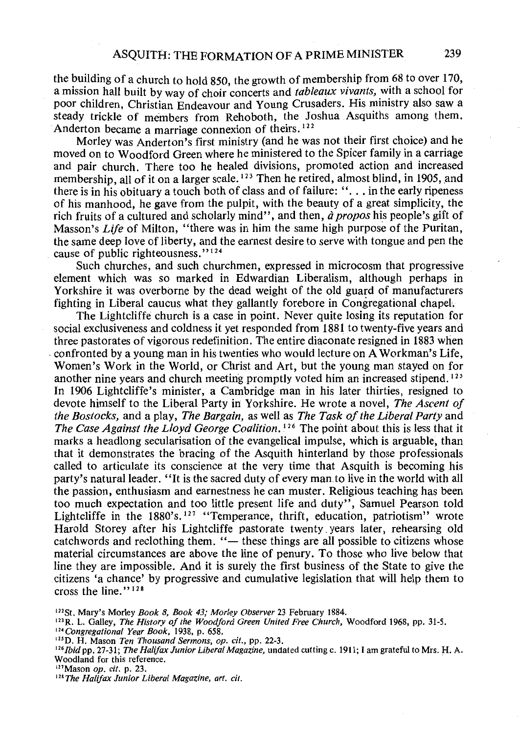the building of a church to hold 850, the growth of membership from 68 to over 170, a mission hall built by way of choir concerts and *tableaux vivants,* with a school for poor children, Christian Endeavour and Young Crusaders. His ministry also saw a steady trickle of members from Rehoboth, the Joshua Asquiths among them. Anderton became a marriage connexion of theirs.<sup>122</sup>

Morley was Anderton's first ministry (and he was not their first choice) and he moved on to Woodford Green where he ministered to the Spicer family in a carriage and pair church. There too he healed divisions, promoted action and increased membership, all of it on a larger scale.<sup>123</sup> Then he retired, almost blind, in 1905, and there is in his obituary a touch both of class and of failure: "... in the early ripeness of his manhood, he gave from the pulpit, with the beauty of a great simplicity, the rich fruits of a cultured and scholarly mind", and then, *d propos* his people's gift of Masson's *Life* of Milton, "there was in him the same high purpose of the Puritan. the same deep love of liberty, and the earnest desire to serve with tongue and pen the cause of public righteousness."<sup>124</sup>

Such churches, and such churchmen, expressed in microcosm that progressive element which was so marked in Edwardian Liberalism, although perhaps in Yorkshire it was overborne by the dead weight of the old guard of manufacturers fighting in Liberal caucus what they gallantly forebore in Congregational chapel.

The Lightcliffe church is a case in point. Never quite losing its reputation for social exclusiveness and coldness it yet responded from 1881 to twenty-five years and three pastorates of vigorous redefinition. The entire diaconate resigned in 1883 when . confronted by a young man in his twenties who would lecture on A Workman's Life, Women's Work in the World, or Christ and Art, but the young man stayed on for another nine years and church meeting promptly voted him an increased stipend. 125 In 1906 Lightcliffe's minister, a Cambridge man in his later thirties, resigned to devote himself to the Liberal Party in Yorkshire. He wrote a novel, *The Ascent of the Bostocks,* and a play, *The Bargain,* as well as *The Task of the Liberal Party* and *The Case Against the Lloyd George Coalition.* 126 The point about this is less that it marks a headlong secularisation of the evangelical impulse, which is arguable, than that it demonstrates the bracing of the Asquith hinterland by those professionals called to articulate its conscience at the very time that Asquith is becoming his party's natural leader. "It is the sacred duty of every man. to live in the world with all the passion, enthusiasm and earnestness he can muster. Religious teaching has been too much expectation and too little present life and duty", Samuel Pearson told Lightcliffe in the  $1880's$ ,  $127$  "Temperance, thrift, education, patriotism" wrote Harold Storey after his Lightcliffe pastorate twenty years later, rehearsing old catchwords and reclothing them. "- these things are all possible to citizens whose material circumstances are above the line of penury. To those who live below that line they are impossible. And it is surely the first business of the State to give the citizens 'a chance' by progressive and cumulative legislation that will help them to cross the line."<sup>128</sup>

<sup>&</sup>lt;sup>122</sup>St. Mary's Morley *Book 8, Book 43; Morley Observer 23 February 1884.*<br><sup>123</sup>R. L. Galley, *The History of the Woodford Green United Free Church*, Woodford 1968, pp. 31-5.

<sup>&</sup>lt;sup>124</sup> Congregational Year Book, 1938, p. 658.<br><sup>125</sup>D. H. Mason Ten Thousand Sermons, op. cit., pp. 22-3.

<sup>&</sup>lt;sup>126</sup>*Ibid* pp. 27-31; *The Halifax Junior Liberal Magazine*, undated cutting c. 1911; I am grateful to Mrs. H. A. Woodland for this reference.<br><sup>127</sup>Mason op. cit. p. 23.

<sup>&</sup>lt;sup>128</sup> The Halifax Junior Liberal Magazine, art. cit.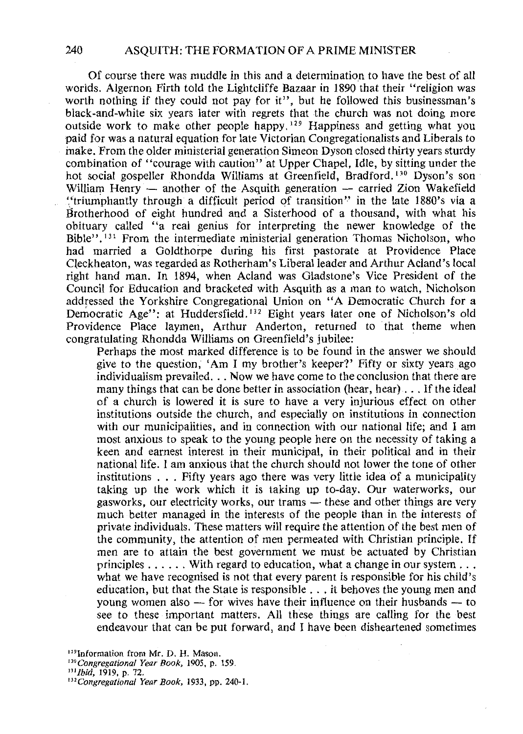Of course there was muddle in this and a determination to have the best of all worlds. Algernon Firth told the Lightcliffe Bazaar in 1890 that their "religion was worth nothing if they could not pay for it", but he followed this businessman's black-and-white six years later with regrets that the church was not doing more outside work to make other people happy.  $129$  Happiness and getting what you paid for was a natural equation for late Victorian Congregationalists and Liberals to inake. From the older ministerial generation Simeon Dyson closed thirty years sturdy combination of "courage with caution" at Upper Chapel, Idle, by sitting under the hot social gospeller Rhondda Williams at Greenfield, Bradford. 130 Dyson's son William Henry  $-$  another of the Asquith generation  $-$  carried Zion Wakefield ','triumphantly through a difficult period of transition'' in the late 1880's via a Brotherhood of eight hundred and a Sisterhood of a thousand, with what his obituary called "a real genius for interpreting the newer knowledge of the Bible"<sup>131</sup> From the intermediate ministerial generation Thomas Nicholson, who had married a Goldthorpe during his first pastorate at Providence Place Cleckheaton, was regarded as Rotherham's Liberal leader and Arthur Acland's local right hand man. In 1894, when Acland was Gladstone's Vice President of the Council for Education and bracketed with Asquith as a man to watch, Nicholson addressed the Yorkshire Congregational Union on "A Democratic Church for a Democratic Age": at Huddersfield.<sup>132</sup> Eight years later one of Nicholson's old Providence Place laymen, Arthur Anderton, returned to that theme when congratulating Rhondda Williams on Greenfield's jubilee: ·

Perhaps the most marked difference is to be found in the answer we should give to the question, 'Am I my brother's keeper?' Fifty or sixty years ago individualism prevailed. . . Now we have come to the conclusion that there are many things that can be done better in association (hear, hear) ... If the ideal of a church is lowered it is sure to have a very injurious effect on other institutions outside the church, and especially on institutions in connection with our municipalities, and in connection with our national life; and I am most anxious to speak to the young people here on the necessity of taking a keen and earnest interest in their municipal, in their political and in their national life. I am anxious that the church should not lower the tone of other institutions . . . Fifty years ago there was very little idea of a municipality taking up the work which it is taking up to-day. Our waterworks, our gasworks, our electricity works, our trams — these and other things are very much better managed in the interests of the people than in the interests of private individuals. These matters will require the attention of the best men of the community, the attention of men permeated with Christian principle. If men are to attain the best government we must be actuated by Christian principles ...... With regard to education, what a change in our system .. . what we have recognised is not that every parent is responsible for his child's education, but that the State is responsible ... it behoves the young men and young women also  $-$  for wives have their influence on their husbands  $-$  to see to these important matters. All these things are calling for the best endeavour that can be put forward, and I have been disheartened sometimes

<sup>&</sup>lt;sup>129</sup> Information from Mr. D. H. Mason.

*<sup>&</sup>quot;'Congregational Year Book,* 1905, p. 159.

*<sup>&</sup>quot;'Ibid,* 1919, p. 72.

*<sup>&</sup>quot;'Congregational Year Book,* 1933, pp. 240-1.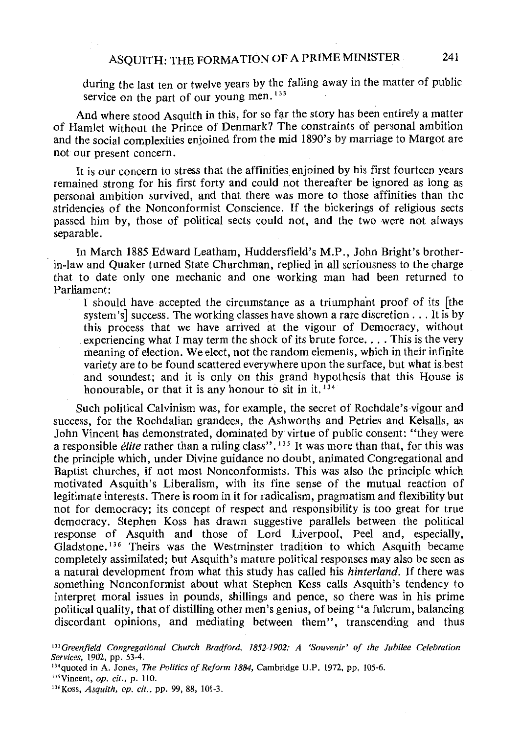during the last ten or twelve years by the falling away in the matter of public service on the part of our young men.<sup>133</sup>

And where stood Asquith in this, for so far the story has been entirely a matter of Hamlet without the Prince of Denmark? The constraints of personal ambition and the social complexities enjoined from the mid 1890's by marriage to Margot are not our present concern.

It is our concern to stress that the affinities enjoined by his first fourteen years remained strong for his first forty and could not thereafter be ignored as long as personal ambition survived, and that there was more to those affinities than the stridencies of the Nonconformist Conscience. If the bickerings of religious sects passed him by, those of political sects could not, and the two were not always separable.

In March 1885 Edward Leatham, Huddersfield's M.P., John Bright's brotherin-law and Quaker turned State Churchman, replied in all seriousness to the charge that to date only one mechanic and one working man had been returned to Parliament:

I should have accepted the circumstance as a triumphant proof of its [the system's] success. The working classes have shown a rate discretion ... It is by this process that we have arrived at the vigour of Democracy, without experiencing what I may term the shock of its brute force .... This is the very meaning of election. We elect, not the random elements, which in their infinite variety are to be found scattered everywhere upon the surface, but what is best and soundest; and it is only on this grand hypothesis that this House is honourable, or that it is any honour to sit in it.  $134$ 

Such political Calvinism was, for example, the secret of Rochdale's vigour and success, for the Rochdalian grandees, the Ashworths and Petries and Kelsalls, as John Vincent has demonstrated, dominated by virtue of public consent: "they were a responsible *elite* rather than a ruling class". 135 It was more than that, for this was the principle which, under Divine guidance no doubt, animated Congregational and Baptist churches, if not most Nonconformists. This was also the principle which motivated Asquith's Liberalism, with its fine sense of the mutual reaction of legitimate interests. There is room in it for radicalism, pragmatism and flexibility but not for democracy; its concept of respect and responsibility is too great for true democracy. Stephen Koss has drawn suggestive parallels between the political response of Asquith and those of Lord Liverpool, Peel and, especially, Gladstone. 136 Theirs was the Westminster tradition to which Asquith became completely assimilated; but Asquith's mature political responses may also be seen as a natural development from what this study has called his *hinterland.* If there was something Nonconformist about what Stephen Koss calls Asquith's tendency to interpret moral issues in pounds, shillings and pence, so there was in his prime political quality, that of distilling other men's genius, of being "a fulcrum, balancing discordant opinions, and mediating between them", transcending and thus

<sup>133</sup> Greenfield Congregational Church Bradford, 1852-1902: A 'Souvenir' of the Jubilee Celebration *Services,* 1902, pp. 53·4.

<sup>134</sup> quoted in A. Jones, *The Politics of Reform 1884*, Cambridge U.P. 1972, pp. 105-6.

<sup>135</sup> Vincent, *op. cit.*, p. 110.

<sup>136</sup> Koss, Asquith, op. cit., pp. 99, 88, 101-3.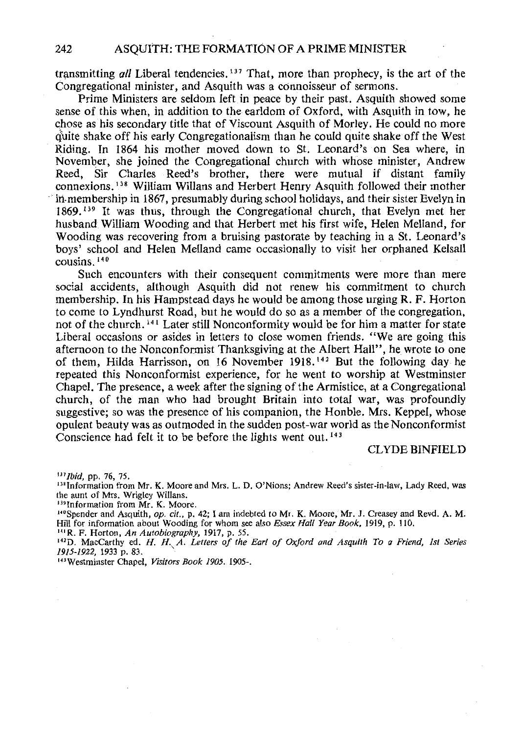transmitting *all* Liberal tendencies. <sup>137</sup> That, more than prophecy, is the art of the Congregational minister, and Asquith was a connoisseur of sermons.

Prime Ministers are seldom left in peace by their past. Asquith showed some sense of this when, in addition to the earldom of Oxford, with Asquith in tow, he chose as his secondary title that of Viscount Asquith of Morley. He could no more quite shake off his early Congregationalism than he could quite shake off the West Riding. In 1864 his mother moved down to St. Leonard's on Sea where, in November, she joined the Congregational church with whose minister, Andrew Reed, Sir Charles Reed's brother, there were mutual if distant family connexions. 138 William Willans and Herbert Henry Asquith followed their mother iii-membership in 1867, presumably during school holidays, and their sister Evelyn in  $1869$ <sup>139</sup> It was thus, through the Congregational church, that Evelyn met her husband William Wooding and that Herbert met his first wife, Helen Melland, for Wooding was recovering from a bruising pastorate by teaching in a St. Leonard's boys' school and Helen Melland came occasionally to visit her orphaned Kelsall cousins. <sup>140</sup>

Such encounters with their consequent commitments were more than mere social accidents, although Asquith did not renew his commitment to church membership. In his Hampstead days he would be among those urging R. F. Horton to come to Lyndhurst Road, but he would do so as a member of the congregation, not of the church. 141 Later still Nonconformity would be for him a matter for state Liberal occasions or asides in letters to close women friends. "We are going this afternoon to the Nonconformist Thanksgiving at the Albert Hall", he wrote to one of them, Hilda Harrisson, on 16 November 1918. 142 But the following day he repeated this Nonconformist experience, for he went to worship at Westminster Chapel. The presence, a week after the signing of the Armistice, at a Congregational church, of the man who had brought Britain into total war, was profoundly suggestive; so was the presence of his companion, the Honble. Mrs. Keppel, whose opulent beauty was as outmoded in the sudden post-war world as the Nonconformist Conscience had felt it to be before the lights went out. 143

CLYDE BINFIELD

<sup>137</sup>*Ibid*, pp. 76, 75.<br><sup>138</sup> Information from Mr. K. Moore and Mrs. L. D. O'Nions; Andrew Reed's sister-in-law, Lady Reed, was the aunt of Mrs. Wrigley Willans.

<sup>139</sup> Information from Mr. K. Moore.<br><sup>140</sup>Spender and Asquith, *op. cit.*, p. 42; I am indebted to Mr. K. Moore, Mr. J. Creasey and Revd. A. M. Hill for information about Wooding for whom see also *Essex Hall Year Book,* 1919, p. 110. 141 R. F. Horton, *An Autobiography,* 1917, p. 55.

<sup>142</sup> 0. MacCarthy ed. *H. H. A. Letters of the Earl of Oxford and Asquith To a Friend, 1st Series* 

*1915-1922,* 1933 p. 83. ' 143Westminster Chapel, *Visitors Book 1905.* 1905-.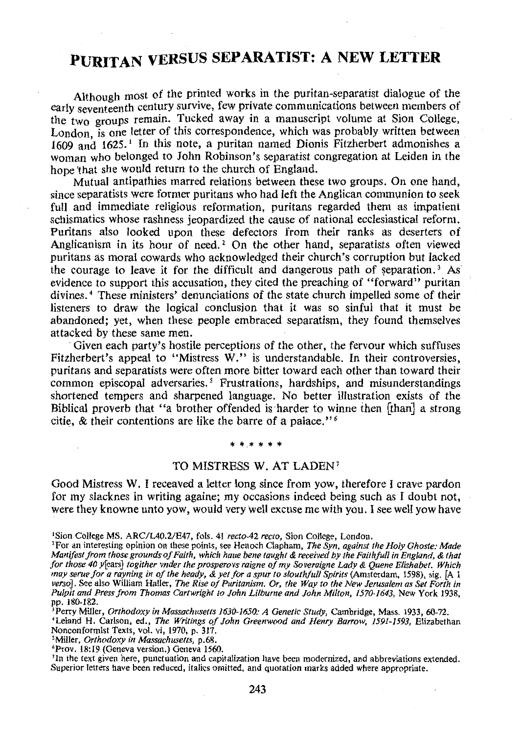### **PURITAN VERSUS SEPARATIST: A NEW LETTER**

Although most of the printed works in the puritan-separatist dialogue of the early seventeenth century survive, few private communications between members of the two groups remain. Tucked away in a manuscript volume at Sion College, London, is one letter of this correspondence, which was probably written between 1609 and 1625. 1 In this note, a puritan named Dionis Fitzherbert admonishes a woman who belonged to John Robinson's separatist congregation at Leiden in the hope 'that she would return to the church of England.

Mutual antipathies marred relations between these two groups. On one hand, since separatists were former puritans who had left the Anglican communion to seek full and immediate religious reformation, puritans regarded them as impatient schismatics whose rashness jeopardized the cause of national ecclesiastical reform. Puritans also looked upon these defectors from their ranks as deserters of Anglicanism in its hour of need.<sup>2</sup> On the other hand, separatists often viewed puritans as moral cowards who acknowledged their church's corruption but lacked the courage to leave it for the difficult and dangerous path of separation.<sup>3</sup> As evidence to support this accusation, they cited the preaching of "forward" puritan divines. *4* These ministers' denunciations of the state church impelled some of their listeners to draw the logical conclusion that it was so sinful that it must be abandoned; yet, when these people embraced separatism, they found themselves attacked by these same men.

Given each party's hostile perceptions of the other, the fervour which suffuses Fitzherbert's appeal to "Mistress W." is understandable. In their controversies, puritans and separatists were often more bitter toward each other than toward their common episcopal adversaries. *5* Frustrations, hardships, and misunderstandings shortened tempers and sharpened language. No better illustration exists of the Biblical proverb that "a brother offended is harder to winne then [than] a strong citie, & their contentions are like the barre of a palace." *<sup>6</sup>*

#### \* \* \* \* \* \*

#### TO MISTRESS W. AT LADEN7

Good Mistress W. I receaved a letter long since from yow, therefore I crave pardon for my slacknes in writing againe; my occasions indeed being such as I doubt not, were they knowne unto yow, would very well excuse me with you. I see well yow have

<sup>7</sup>In the text given here, punctuation and capitalization have been modernized, and abbreviations extended. Superior letters have been reduced, italics omitted, and quotation marks added where appropriate.

<sup>&#</sup>x27;Sion College MS. ARC/L40.2/E47, fols. 41 *recto-42 recto,* Sion College, London.

<sup>&#</sup>x27;For an interesting opinion on these points, see Henoch Clapham, *The Syn, against the Holy Ghoste: Made Manifest from those grounds of Faith, which haue bene taught* & *received by the Faithful/ in England,* & *that for those 40* y[ears] *togither vnder the prosperovs raigne of my Soveraigne Lady* & *Quene Elishabet. Which may serue for a rayning in of the heady,* & *yet for a spur to slouthfu/1 Spirits* (Amsterdam, 1598), sig. [A 1 *verso].* See also William Haller, *The Rise of Puritanism. Or, the Way to the New Jerusalem as Set Forth in*  Pulpit and Press from Thomas Cartwright to John Lilburne and John Milton, 1570-1643, New York 1938,

pp. 180-182.<br><sup>3</sup> Perry Miller, *Orthodoxy in Massachusetts 1630-1650: A Genetic Study*, Cambridge, Mass. 1933, 60-72.

<sup>&#</sup>x27;Leland H. Carlson, ed., *The Writings of John Greenwood and Henry Barrow, 1591-1593,* Elizabethan Nonconformist Texts, vol. vi, 1970, p. 317.

<sup>&#</sup>x27;Miller, *Orthodoxy in Massachusetts,* p.68.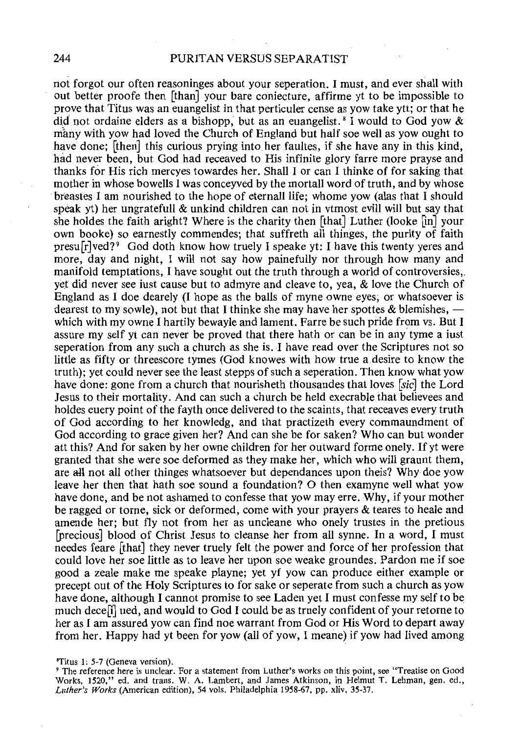not forgot our often reasoninges about your seperation. I must, and ever shall with out better proofe then [than] your bare coniecture, affirme yt to be impossible to prove that Titus was an euangelist in that perticuler cense as yow take ytt; or that he did not ordaine elders as a bishopp, but as an euangelist.<sup>8</sup> I would to God yow  $\&$ many with yow had loved the Church of England but half soe well as yow ought to have done; [then] this curious prying into her faultes, if she have any in this kind, had never been, but God had receaved to His infinite glory farre more prayse and thanks for His rich mercyes towardes her. Shall I or can I thinke of for saking that mother in whose howells I was conceyved by the mortall word of truth, and by whose breastes I am nourished to the hope of eternall life; whome yow (alas that I should speak yt) her ungratefull & unkind children can not in vtmost evill will but say that she holdes the faith aright? Where is the charity then [that] Luther (looke [in] your own booke) so earnestly commendes; that suffreth all thinges, the purity of faith presu $\lceil r \rceil \text{ved} \rceil$ <sup>9</sup> God doth know how truely I speake yt: I have this twenty yeres and more, day and night, I will not say how painefully nor through how many and manifold temptations, I have sought out the truth through a world of controversies,. yet did never see iust cause but to admyre and cleave to, yea, & love the Church of England as I doe dearely (I hope as the balls of myne owne eyes, or whatsoever is dearest to my sowle), not but that I thinke she may have her spottes & blemishes,  $$ which with my owne I hartily bewayle and lament. Farre be such pride from vs. But I assure my self yt can never be proved that there hath or can be in any tyme a just seperation from any such a church as she is. I have read over the Scriptures not so little as fifty or threescore tymes (God knowes with how true a.desire to know the truth); yet could never see the least stepps of such a seperation. Then know what yow have done: gone from a church that nourisheth thousandes that loves [sic] the Lord Jesus to their mortality. And can such a church be held execrable that believees and holdes euery point of the fayth once delivered to the scaints, that receaves every truth of God according to her knowledg, and that practizeth every commaundment of God according to grace given her? And can she be forsaken? Who can but wonder att this? And for saken by her owne children for her outward forme onely. If yt were granted that she were soe deformed as they make her, which who will graunt them, are all not all other thinges whatsoever but dependances upon theis? Why doe yow leave her then that hath soe sound a foundation? 0 then examyne well what yow have done, and be not ashamed to confesse that yow may erre. Why, if your mother be ragged or tome, sick or deformed, come with your prayers & teares to heale and amende her; but fly not from her as uncleane who onely trustes in the pretious [precious] blood of Christ Jesus to cleanse her from all synne. In a word, I must needes feare [that] they never truely felt the power and force of her profession that could love her soe little as to leave her upon soe weake groundes. Pardon me if soe good a zeale make me speake playne; yet yf yow can produce either example or precept out of the Holy Scriptures to for sake or seperate from such a church as yow have done, although I cannot promise to see Laden yet I must confesse my self to be much dece[i] ued, and would to God I could be as truely confident of your retorne to her as I am assured yow can find noe warrant from God or His Word to depart away from her. Happy had yt been for yow (all of yow, I meane) if yow had lived among

'Titus 1: 5-7 (Geneva version).

<sup>9</sup>The reference here is unclear. For a statement from Luther's works on this point, see "Treatise on Good Works, 1520," ed. and trans. W. A. Lambert, and James Atkinson, in Helmut T. Lehman, gen. ed., *Luther's Works* (American edition), 54 vols. Philadelphia 1958-67, pp. xliv, 35-37.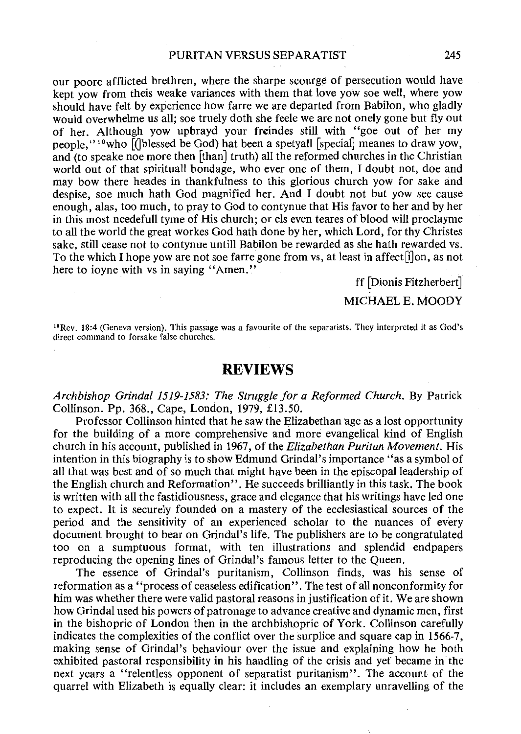our poore afflicted brethren, where the sharpe scourge of persecution would have kept yow from theis weake variances with them that love yow soe well, where yow should have felt by experience how farre we are departed from Babilon, who gladly would overwhelme us all; soe truely doth she feele we are not onely gone but fly out of her. Although yow upbrayd your freindes still with "goe out of her my people," $10$  who  $\left[\right]$  blessed be God) hat been a spetyall [special] meanes to draw yow. and (to speake noe more then [than] truth) all the reformed churches in the Christian world out of that spirituall bondage, who ever one of them, I doubt not, doe and may bow there heades in thankfulness to this glorious church yow for sake and despise, soe much hath God magnified her. And I doubt not but yow see cause enough, alas, too much, to pray to God to contynue that His favor to her and by her in this most needefull tyme of His church; or els even teares of blood will proclayme to all the world the great workes God hath done by her, which Lord, for thy Christes sake, still cease not to contynue untill Babilon be rewarded as she hath rewarded vs. To the which I hope yow are not soe farre gone from vs, at least in affect[i]on, as not here to joyne with vs in saying "Amen."

ff [Dionis Fitzherbert]

#### MICHAEL E. MOODY

10Rev. 18:4 (Geneva version). This passage was a favourite of the separatists. They interpreted it as God's direct command to forsake false churches.

#### **REVIEWS**

*Archbishop Orinda/ 1519-1583: The Struggle for a Reformed Church.* By Patrick Collinson. Pp. 368., Cape, London, 1979, £13.50.

Professor Collinson hinted that he saw the Elizabethan age as a lost opportunity for the building of a more comprehensive and more evangelical kind of English church in his account, published in 1967, of the *Elizabethan Puritan Movement.* His intention in this biography is to show Edmund Grindal's importance "as a symbol of all that was best and of so much that might have been in the episcopal leadership of the English church and Reformation". He succeeds brilliantly in this task. The book is written with all the fastidiousness, grace and elegance that his writings have led one to expect. It is securely founded on a mastery of the ecclesiastical sources of the period and the sensitivity of an experienced scholar to the nuances of every document brought to bear on Grindal's life. The publishers are to be congratulated too on a sumptuous format, with ten illustrations and splendid endpapers reproducing the opening lines of Grindal's famous letter to the Queen.

The essence of Grindal's puritanism, Collinson finds, was his sense of reformation as a "process of ceaseless edification". The test of all nonconformity for him was whether there were valid pastoral reasons in justification of it. We are shown how Grindal used his powers of patronage to advance creative and dynamic men, first in the bishopric of London then in the archbishopric of York. Collinson carefully indicates the complexities of the conflict over the surplice and square cap in 1566-7. making sense of Grindal's behaviour over the issue and explaining how he both exhibited pastoral responsibility in his handling of the crisis and yet became in the next years a "relentless opponent of separatist puritanism". The account of the quarrel with Elizabeth is equally clear: it includes an exemplary unravelling of the